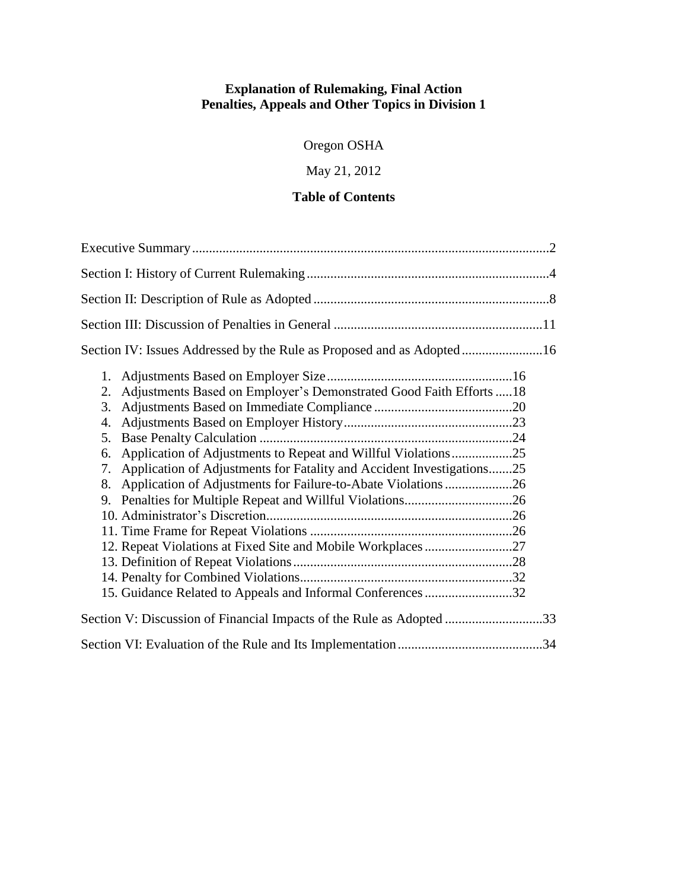## **Explanation of Rulemaking, Final Action Penalties, Appeals and Other Topics in Division 1**

Oregon OSHA

May 21, 2012

## **Table of Contents**

| Section IV: Issues Addressed by the Rule as Proposed and as Adopted16                                                                                                                                                                                                                                                                                                                        |  |
|----------------------------------------------------------------------------------------------------------------------------------------------------------------------------------------------------------------------------------------------------------------------------------------------------------------------------------------------------------------------------------------------|--|
| 1.<br>Adjustments Based on Employer's Demonstrated Good Faith Efforts  18<br>2.<br>3.<br>4.<br>5.<br>Application of Adjustments to Repeat and Willful Violations25<br>6.<br>Application of Adjustments for Fatality and Accident Investigations25<br>7.<br>Application of Adjustments for Failure-to-Abate Violations26<br>8.<br>15. Guidance Related to Appeals and Informal Conferences 32 |  |
| Section V: Discussion of Financial Impacts of the Rule as Adopted 33                                                                                                                                                                                                                                                                                                                         |  |
|                                                                                                                                                                                                                                                                                                                                                                                              |  |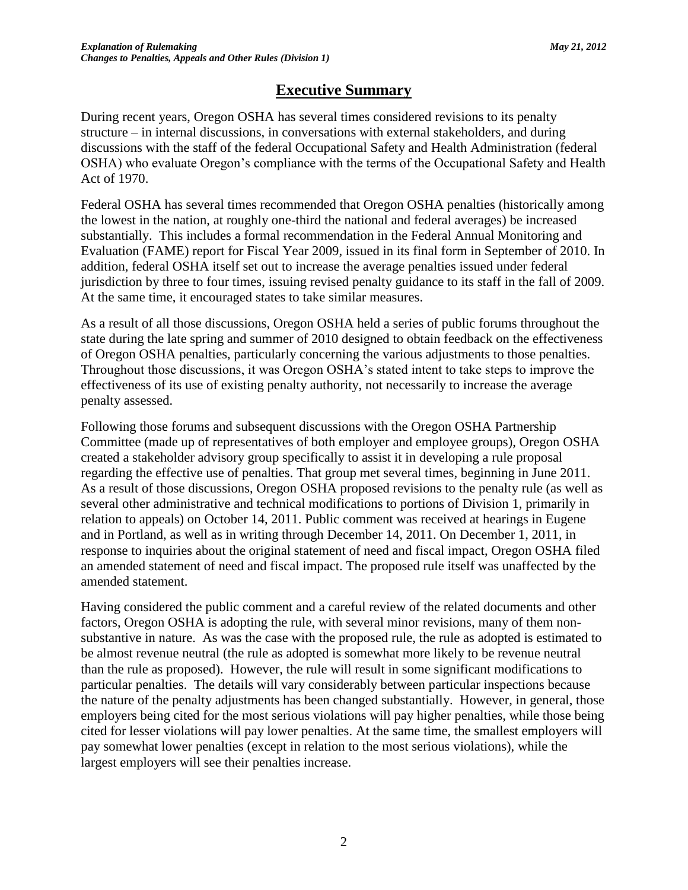# **Executive Summary**

During recent years, Oregon OSHA has several times considered revisions to its penalty structure – in internal discussions, in conversations with external stakeholders, and during discussions with the staff of the federal Occupational Safety and Health Administration (federal OSHA) who evaluate Oregon's compliance with the terms of the Occupational Safety and Health Act of 1970.

Federal OSHA has several times recommended that Oregon OSHA penalties (historically among the lowest in the nation, at roughly one-third the national and federal averages) be increased substantially. This includes a formal recommendation in the Federal Annual Monitoring and Evaluation (FAME) report for Fiscal Year 2009, issued in its final form in September of 2010. In addition, federal OSHA itself set out to increase the average penalties issued under federal jurisdiction by three to four times, issuing revised penalty guidance to its staff in the fall of 2009. At the same time, it encouraged states to take similar measures.

As a result of all those discussions, Oregon OSHA held a series of public forums throughout the state during the late spring and summer of 2010 designed to obtain feedback on the effectiveness of Oregon OSHA penalties, particularly concerning the various adjustments to those penalties. Throughout those discussions, it was Oregon OSHA's stated intent to take steps to improve the effectiveness of its use of existing penalty authority, not necessarily to increase the average penalty assessed.

Following those forums and subsequent discussions with the Oregon OSHA Partnership Committee (made up of representatives of both employer and employee groups), Oregon OSHA created a stakeholder advisory group specifically to assist it in developing a rule proposal regarding the effective use of penalties. That group met several times, beginning in June 2011. As a result of those discussions, Oregon OSHA proposed revisions to the penalty rule (as well as several other administrative and technical modifications to portions of Division 1, primarily in relation to appeals) on October 14, 2011. Public comment was received at hearings in Eugene and in Portland, as well as in writing through December 14, 2011. On December 1, 2011, in response to inquiries about the original statement of need and fiscal impact, Oregon OSHA filed an amended statement of need and fiscal impact. The proposed rule itself was unaffected by the amended statement.

Having considered the public comment and a careful review of the related documents and other factors, Oregon OSHA is adopting the rule, with several minor revisions, many of them nonsubstantive in nature. As was the case with the proposed rule, the rule as adopted is estimated to be almost revenue neutral (the rule as adopted is somewhat more likely to be revenue neutral than the rule as proposed). However, the rule will result in some significant modifications to particular penalties. The details will vary considerably between particular inspections because the nature of the penalty adjustments has been changed substantially. However, in general, those employers being cited for the most serious violations will pay higher penalties, while those being cited for lesser violations will pay lower penalties. At the same time, the smallest employers will pay somewhat lower penalties (except in relation to the most serious violations), while the largest employers will see their penalties increase.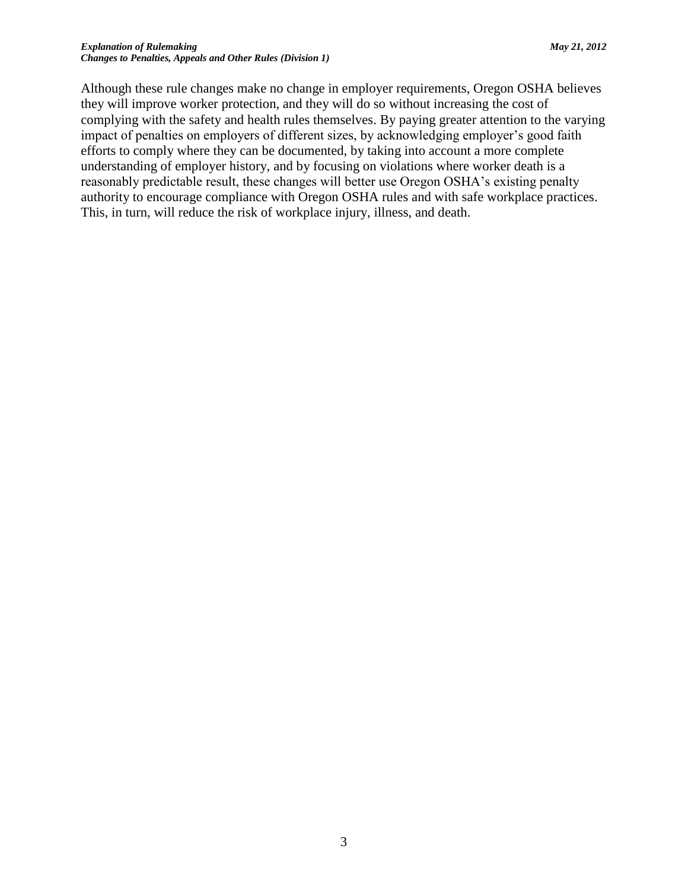Although these rule changes make no change in employer requirements, Oregon OSHA believes they will improve worker protection, and they will do so without increasing the cost of complying with the safety and health rules themselves. By paying greater attention to the varying impact of penalties on employers of different sizes, by acknowledging employer's good faith efforts to comply where they can be documented, by taking into account a more complete understanding of employer history, and by focusing on violations where worker death is a reasonably predictable result, these changes will better use Oregon OSHA's existing penalty authority to encourage compliance with Oregon OSHA rules and with safe workplace practices. This, in turn, will reduce the risk of workplace injury, illness, and death.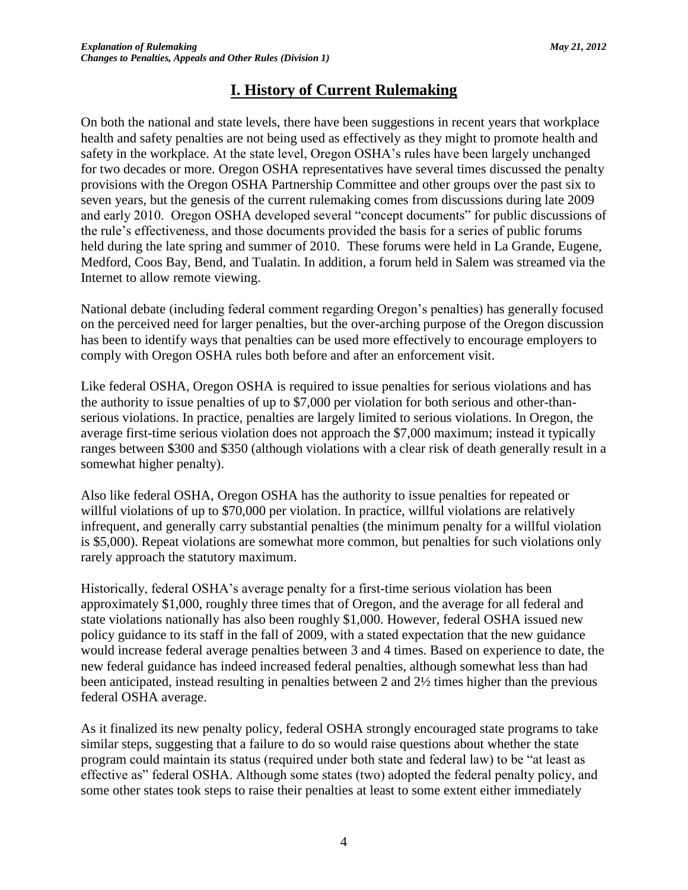# **I. History of Current Rulemaking**

On both the national and state levels, there have been suggestions in recent years that workplace health and safety penalties are not being used as effectively as they might to promote health and safety in the workplace. At the state level, Oregon OSHA's rules have been largely unchanged for two decades or more. Oregon OSHA representatives have several times discussed the penalty provisions with the Oregon OSHA Partnership Committee and other groups over the past six to seven years, but the genesis of the current rulemaking comes from discussions during late 2009 and early 2010. Oregon OSHA developed several "concept documents" for public discussions of the rule's effectiveness, and those documents provided the basis for a series of public forums held during the late spring and summer of 2010. These forums were held in La Grande, Eugene, Medford, Coos Bay, Bend, and Tualatin. In addition, a forum held in Salem was streamed via the Internet to allow remote viewing.

National debate (including federal comment regarding Oregon's penalties) has generally focused on the perceived need for larger penalties, but the over-arching purpose of the Oregon discussion has been to identify ways that penalties can be used more effectively to encourage employers to comply with Oregon OSHA rules both before and after an enforcement visit.

Like federal OSHA, Oregon OSHA is required to issue penalties for serious violations and has the authority to issue penalties of up to \$7,000 per violation for both serious and other-thanserious violations. In practice, penalties are largely limited to serious violations. In Oregon, the average first-time serious violation does not approach the \$7,000 maximum; instead it typically ranges between \$300 and \$350 (although violations with a clear risk of death generally result in a somewhat higher penalty).

Also like federal OSHA, Oregon OSHA has the authority to issue penalties for repeated or willful violations of up to \$70,000 per violation. In practice, willful violations are relatively infrequent, and generally carry substantial penalties (the minimum penalty for a willful violation is \$5,000). Repeat violations are somewhat more common, but penalties for such violations only rarely approach the statutory maximum.

Historically, federal OSHA's average penalty for a first-time serious violation has been approximately \$1,000, roughly three times that of Oregon, and the average for all federal and state violations nationally has also been roughly \$1,000. However, federal OSHA issued new policy guidance to its staff in the fall of 2009, with a stated expectation that the new guidance would increase federal average penalties between 3 and 4 times. Based on experience to date, the new federal guidance has indeed increased federal penalties, although somewhat less than had been anticipated, instead resulting in penalties between 2 and 2½ times higher than the previous federal OSHA average.

As it finalized its new penalty policy, federal OSHA strongly encouraged state programs to take similar steps, suggesting that a failure to do so would raise questions about whether the state program could maintain its status (required under both state and federal law) to be "at least as effective as" federal OSHA. Although some states (two) adopted the federal penalty policy, and some other states took steps to raise their penalties at least to some extent either immediately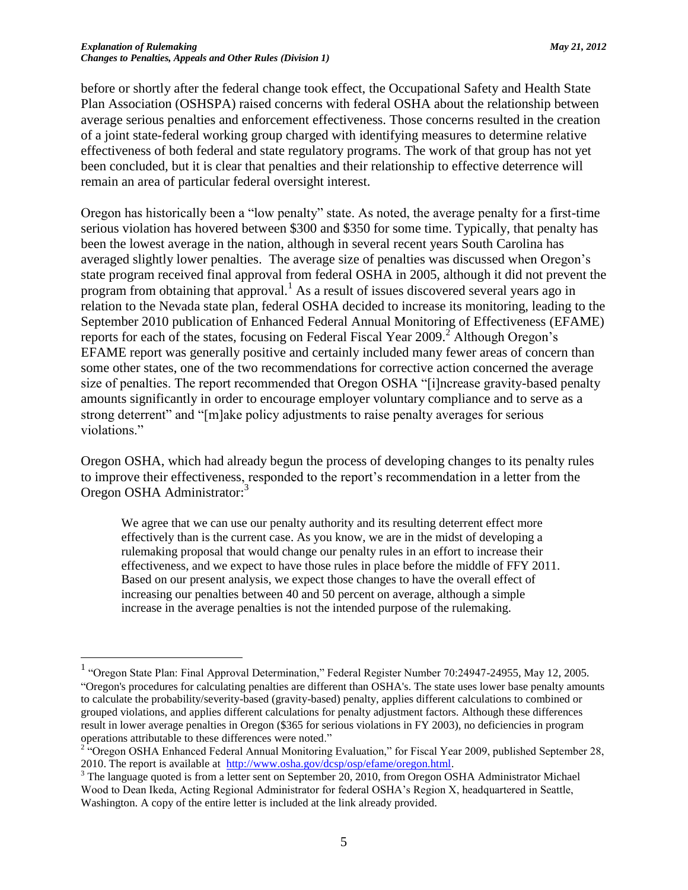before or shortly after the federal change took effect, the Occupational Safety and Health State Plan Association (OSHSPA) raised concerns with federal OSHA about the relationship between average serious penalties and enforcement effectiveness. Those concerns resulted in the creation of a joint state-federal working group charged with identifying measures to determine relative effectiveness of both federal and state regulatory programs. The work of that group has not yet been concluded, but it is clear that penalties and their relationship to effective deterrence will remain an area of particular federal oversight interest.

Oregon has historically been a "low penalty" state. As noted, the average penalty for a first-time serious violation has hovered between \$300 and \$350 for some time. Typically, that penalty has been the lowest average in the nation, although in several recent years South Carolina has averaged slightly lower penalties. The average size of penalties was discussed when Oregon's state program received final approval from federal OSHA in 2005, although it did not prevent the program from obtaining that approval.<sup>1</sup> As a result of issues discovered several years ago in relation to the Nevada state plan, federal OSHA decided to increase its monitoring, leading to the September 2010 publication of Enhanced Federal Annual Monitoring of Effectiveness (EFAME) reports for each of the states, focusing on Federal Fiscal Year  $2009$ <sup>2</sup> Although Oregon's EFAME report was generally positive and certainly included many fewer areas of concern than some other states, one of the two recommendations for corrective action concerned the average size of penalties. The report recommended that Oregon OSHA "[i]ncrease gravity-based penalty amounts significantly in order to encourage employer voluntary compliance and to serve as a strong deterrent" and "[m]ake policy adjustments to raise penalty averages for serious violations."

Oregon OSHA, which had already begun the process of developing changes to its penalty rules to improve their effectiveness, responded to the report's recommendation in a letter from the Oregon OSHA Administrator:<sup>3</sup>

We agree that we can use our penalty authority and its resulting deterrent effect more effectively than is the current case. As you know, we are in the midst of developing a rulemaking proposal that would change our penalty rules in an effort to increase their effectiveness, and we expect to have those rules in place before the middle of FFY 2011. Based on our present analysis, we expect those changes to have the overall effect of increasing our penalties between 40 and 50 percent on average, although a simple increase in the average penalties is not the intended purpose of the rulemaking.

 1 "Oregon State Plan: Final Approval Determination," Federal Register Number 70:24947-24955, May 12, 2005. "Oregon's procedures for calculating penalties are different than OSHA's. The state uses lower base penalty amounts to calculate the probability/severity-based (gravity-based) penalty, applies different calculations to combined or grouped violations, and applies different calculations for penalty adjustment factors. Although these differences result in lower average penalties in Oregon (\$365 for serious violations in FY 2003), no deficiencies in program operations attributable to these differences were noted."

<sup>&</sup>lt;sup>2 "</sup>Oregon OSHA Enhanced Federal Annual Monitoring Evaluation," for Fiscal Year 2009, published September 28, 2010. The report is available at [http://www.osha.gov/dcsp/osp/efame/oregon.html.](http://www.osha.gov/dcsp/osp/efame/oregon.html)

<sup>&</sup>lt;sup>3</sup> The language quoted is from a letter sent on September 20, 2010, from Oregon OSHA Administrator Michael Wood to Dean Ikeda, Acting Regional Administrator for federal OSHA's Region X, headquartered in Seattle, Washington. A copy of the entire letter is included at the link already provided.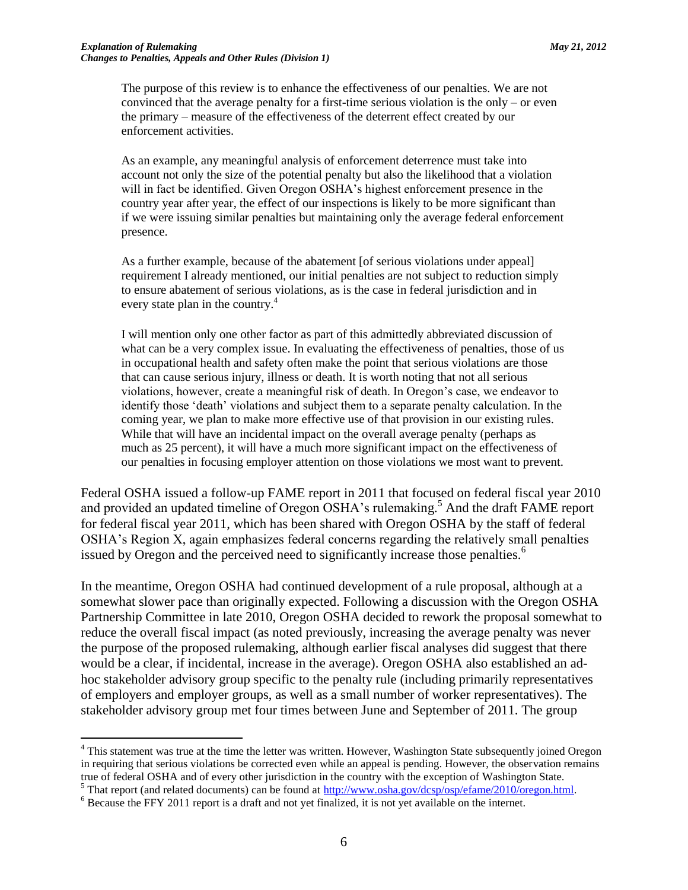The purpose of this review is to enhance the effectiveness of our penalties. We are not convinced that the average penalty for a first-time serious violation is the only – or even the primary – measure of the effectiveness of the deterrent effect created by our enforcement activities.

As an example, any meaningful analysis of enforcement deterrence must take into account not only the size of the potential penalty but also the likelihood that a violation will in fact be identified. Given Oregon OSHA's highest enforcement presence in the country year after year, the effect of our inspections is likely to be more significant than if we were issuing similar penalties but maintaining only the average federal enforcement presence.

As a further example, because of the abatement [of serious violations under appeal] requirement I already mentioned, our initial penalties are not subject to reduction simply to ensure abatement of serious violations, as is the case in federal jurisdiction and in every state plan in the country.<sup>4</sup>

I will mention only one other factor as part of this admittedly abbreviated discussion of what can be a very complex issue. In evaluating the effectiveness of penalties, those of us in occupational health and safety often make the point that serious violations are those that can cause serious injury, illness or death. It is worth noting that not all serious violations, however, create a meaningful risk of death. In Oregon's case, we endeavor to identify those 'death' violations and subject them to a separate penalty calculation. In the coming year, we plan to make more effective use of that provision in our existing rules. While that will have an incidental impact on the overall average penalty (perhaps as much as 25 percent), it will have a much more significant impact on the effectiveness of our penalties in focusing employer attention on those violations we most want to prevent.

Federal OSHA issued a follow-up FAME report in 2011 that focused on federal fiscal year 2010 and provided an updated timeline of Oregon OSHA's rulemaking.<sup>5</sup> And the draft FAME report for federal fiscal year 2011, which has been shared with Oregon OSHA by the staff of federal OSHA's Region X, again emphasizes federal concerns regarding the relatively small penalties issued by Oregon and the perceived need to significantly increase those penalties.<sup>6</sup>

In the meantime, Oregon OSHA had continued development of a rule proposal, although at a somewhat slower pace than originally expected. Following a discussion with the Oregon OSHA Partnership Committee in late 2010, Oregon OSHA decided to rework the proposal somewhat to reduce the overall fiscal impact (as noted previously, increasing the average penalty was never the purpose of the proposed rulemaking, although earlier fiscal analyses did suggest that there would be a clear, if incidental, increase in the average). Oregon OSHA also established an adhoc stakeholder advisory group specific to the penalty rule (including primarily representatives of employers and employer groups, as well as a small number of worker representatives). The stakeholder advisory group met four times between June and September of 2011. The group

<sup>&</sup>lt;sup>4</sup> This statement was true at the time the letter was written. However, Washington State subsequently joined Oregon in requiring that serious violations be corrected even while an appeal is pending. However, the observation remains true of federal OSHA and of every other jurisdiction in the country with the exception of Washington State.

<sup>&</sup>lt;sup>5</sup> That report (and related documents) can be found at [http://www.osha.gov/dcsp/osp/efame/2010/oregon.html.](http://www.osha.gov/dcsp/osp/efame/2010/oregon.html)

<sup>&</sup>lt;sup>6</sup> Because the FFY 2011 report is a draft and not yet finalized, it is not yet available on the internet.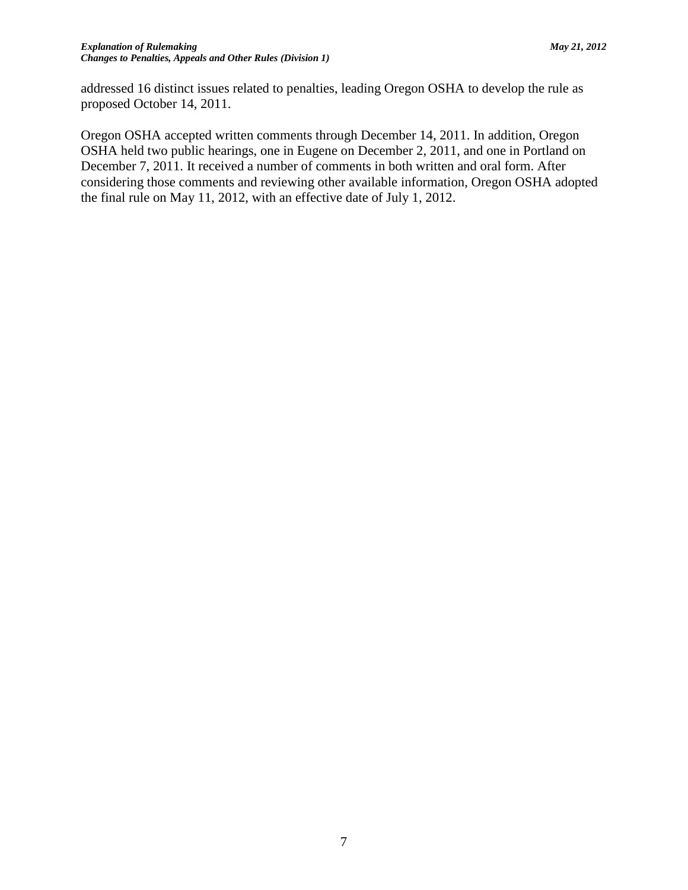addressed 16 distinct issues related to penalties, leading Oregon OSHA to develop the rule as proposed October 14, 2011.

Oregon OSHA accepted written comments through December 14, 2011. In addition, Oregon OSHA held two public hearings, one in Eugene on December 2, 2011, and one in Portland on December 7, 2011. It received a number of comments in both written and oral form. After considering those comments and reviewing other available information, Oregon OSHA adopted the final rule on May 11, 2012, with an effective date of July 1, 2012.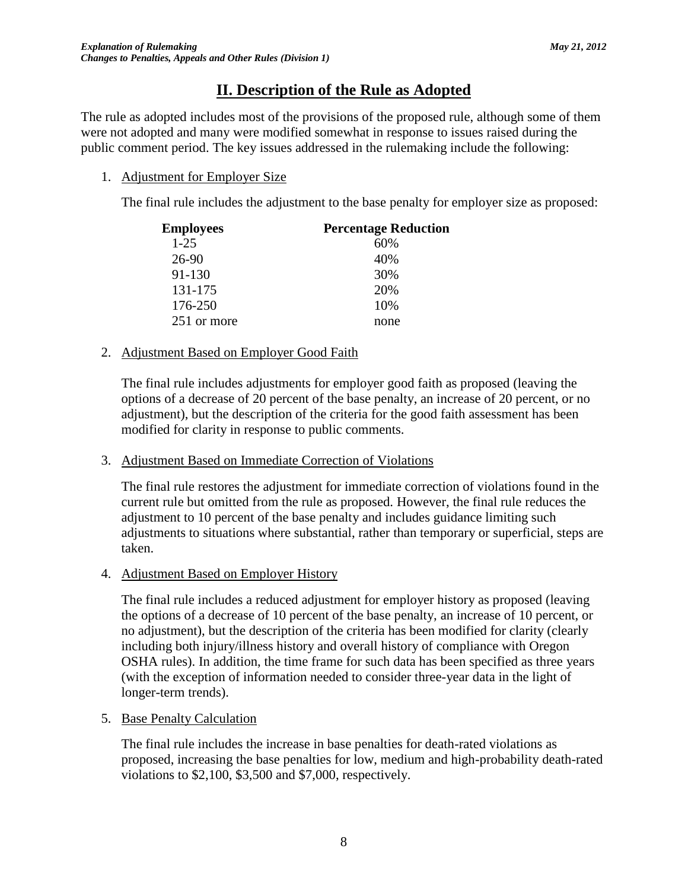# **II. Description of the Rule as Adopted**

The rule as adopted includes most of the provisions of the proposed rule, although some of them were not adopted and many were modified somewhat in response to issues raised during the public comment period. The key issues addressed in the rulemaking include the following:

## 1. Adjustment for Employer Size

The final rule includes the adjustment to the base penalty for employer size as proposed:

| <b>Employees</b> | <b>Percentage Reduction</b> |
|------------------|-----------------------------|
| $1-25$           | 60%                         |
| 26-90            | 40%                         |
| 91-130           | 30%                         |
| 131-175          | 20%                         |
| 176-250          | 10%                         |
| 251 or more      | none                        |

## 2. Adjustment Based on Employer Good Faith

The final rule includes adjustments for employer good faith as proposed (leaving the options of a decrease of 20 percent of the base penalty, an increase of 20 percent, or no adjustment), but the description of the criteria for the good faith assessment has been modified for clarity in response to public comments.

### 3. Adjustment Based on Immediate Correction of Violations

The final rule restores the adjustment for immediate correction of violations found in the current rule but omitted from the rule as proposed. However, the final rule reduces the adjustment to 10 percent of the base penalty and includes guidance limiting such adjustments to situations where substantial, rather than temporary or superficial, steps are taken.

## 4. Adjustment Based on Employer History

The final rule includes a reduced adjustment for employer history as proposed (leaving the options of a decrease of 10 percent of the base penalty, an increase of 10 percent, or no adjustment), but the description of the criteria has been modified for clarity (clearly including both injury/illness history and overall history of compliance with Oregon OSHA rules). In addition, the time frame for such data has been specified as three years (with the exception of information needed to consider three-year data in the light of longer-term trends).

### 5. Base Penalty Calculation

The final rule includes the increase in base penalties for death-rated violations as proposed, increasing the base penalties for low, medium and high-probability death-rated violations to \$2,100, \$3,500 and \$7,000, respectively.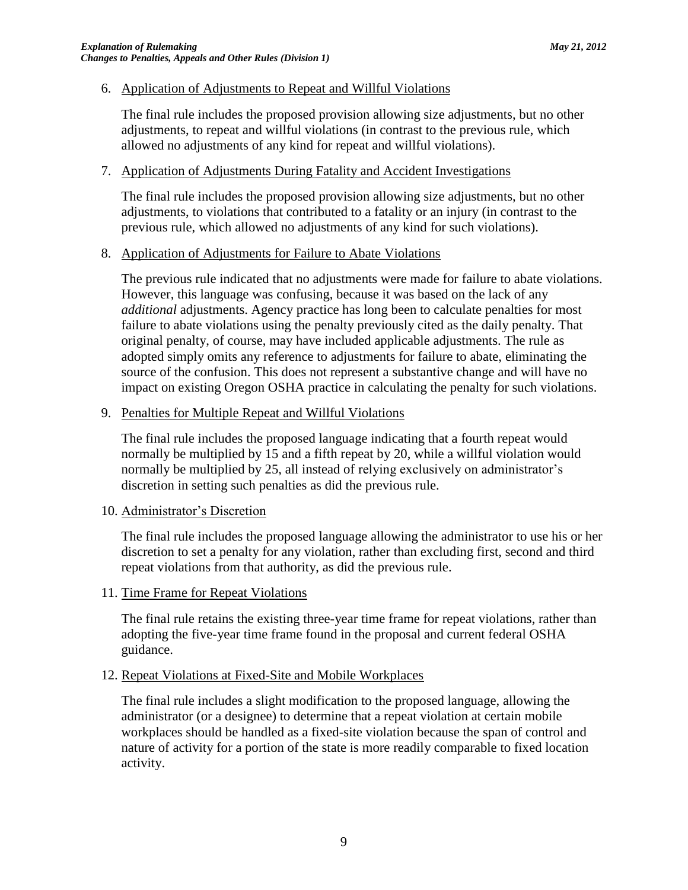### 6. Application of Adjustments to Repeat and Willful Violations

The final rule includes the proposed provision allowing size adjustments, but no other adjustments, to repeat and willful violations (in contrast to the previous rule, which allowed no adjustments of any kind for repeat and willful violations).

### 7. Application of Adjustments During Fatality and Accident Investigations

The final rule includes the proposed provision allowing size adjustments, but no other adjustments, to violations that contributed to a fatality or an injury (in contrast to the previous rule, which allowed no adjustments of any kind for such violations).

### 8. Application of Adjustments for Failure to Abate Violations

The previous rule indicated that no adjustments were made for failure to abate violations. However, this language was confusing, because it was based on the lack of any *additional* adjustments. Agency practice has long been to calculate penalties for most failure to abate violations using the penalty previously cited as the daily penalty. That original penalty, of course, may have included applicable adjustments. The rule as adopted simply omits any reference to adjustments for failure to abate, eliminating the source of the confusion. This does not represent a substantive change and will have no impact on existing Oregon OSHA practice in calculating the penalty for such violations.

### 9. Penalties for Multiple Repeat and Willful Violations

The final rule includes the proposed language indicating that a fourth repeat would normally be multiplied by 15 and a fifth repeat by 20, while a willful violation would normally be multiplied by 25, all instead of relying exclusively on administrator's discretion in setting such penalties as did the previous rule.

#### 10. Administrator's Discretion

The final rule includes the proposed language allowing the administrator to use his or her discretion to set a penalty for any violation, rather than excluding first, second and third repeat violations from that authority, as did the previous rule.

#### 11. Time Frame for Repeat Violations

The final rule retains the existing three-year time frame for repeat violations, rather than adopting the five-year time frame found in the proposal and current federal OSHA guidance.

#### 12. Repeat Violations at Fixed-Site and Mobile Workplaces

The final rule includes a slight modification to the proposed language, allowing the administrator (or a designee) to determine that a repeat violation at certain mobile workplaces should be handled as a fixed-site violation because the span of control and nature of activity for a portion of the state is more readily comparable to fixed location activity.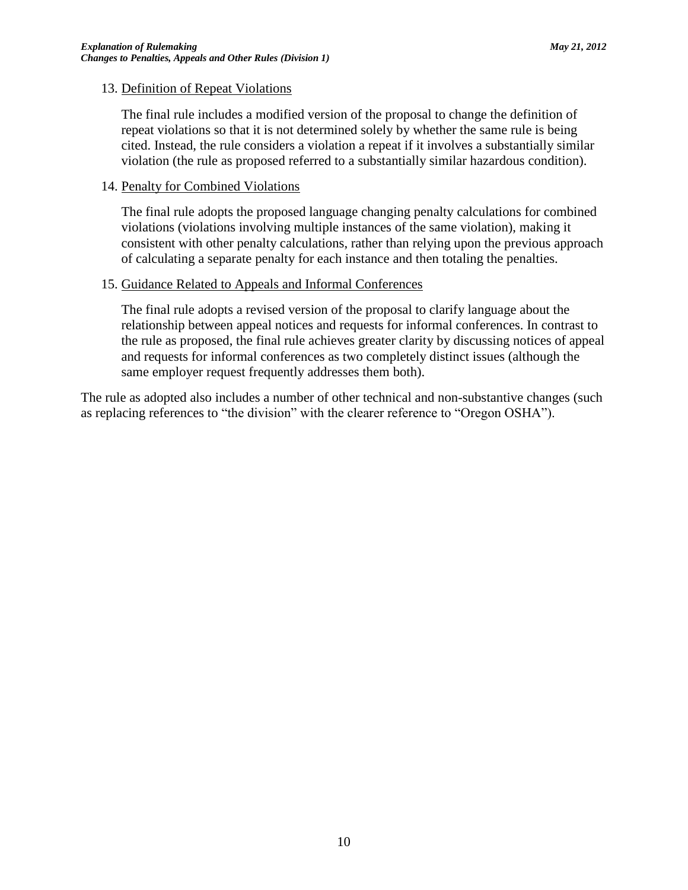### 13. Definition of Repeat Violations

The final rule includes a modified version of the proposal to change the definition of repeat violations so that it is not determined solely by whether the same rule is being cited. Instead, the rule considers a violation a repeat if it involves a substantially similar violation (the rule as proposed referred to a substantially similar hazardous condition).

### 14. Penalty for Combined Violations

The final rule adopts the proposed language changing penalty calculations for combined violations (violations involving multiple instances of the same violation), making it consistent with other penalty calculations, rather than relying upon the previous approach of calculating a separate penalty for each instance and then totaling the penalties.

### 15. Guidance Related to Appeals and Informal Conferences

The final rule adopts a revised version of the proposal to clarify language about the relationship between appeal notices and requests for informal conferences. In contrast to the rule as proposed, the final rule achieves greater clarity by discussing notices of appeal and requests for informal conferences as two completely distinct issues (although the same employer request frequently addresses them both).

The rule as adopted also includes a number of other technical and non-substantive changes (such as replacing references to "the division" with the clearer reference to "Oregon OSHA").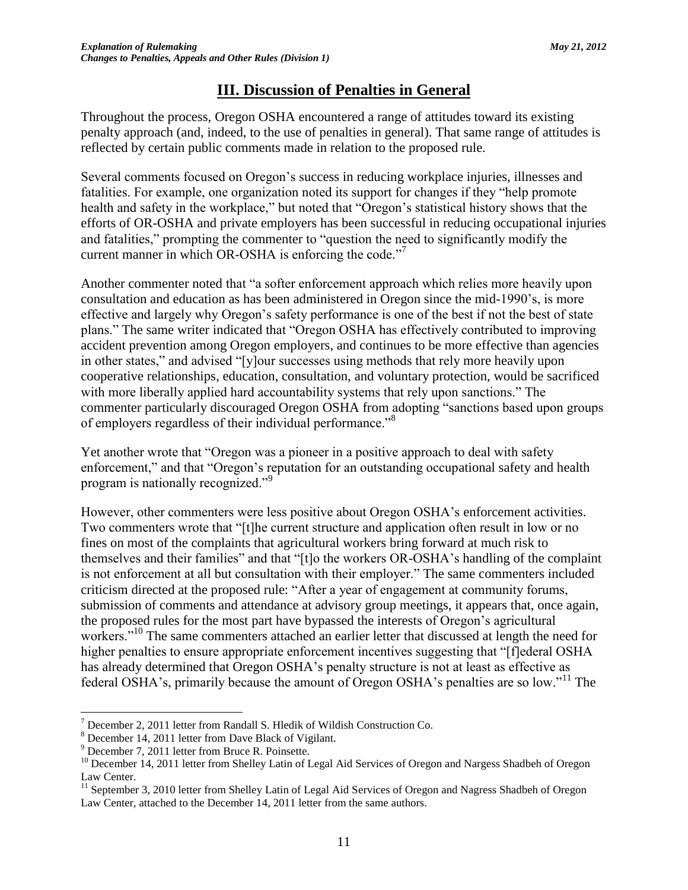# **III. Discussion of Penalties in General**

Throughout the process, Oregon OSHA encountered a range of attitudes toward its existing penalty approach (and, indeed, to the use of penalties in general). That same range of attitudes is reflected by certain public comments made in relation to the proposed rule.

Several comments focused on Oregon's success in reducing workplace injuries, illnesses and fatalities. For example, one organization noted its support for changes if they "help promote health and safety in the workplace," but noted that "Oregon's statistical history shows that the efforts of OR-OSHA and private employers has been successful in reducing occupational injuries and fatalities," prompting the commenter to "question the need to significantly modify the current manner in which OR-OSHA is enforcing the code."<sup>7</sup>

Another commenter noted that "a softer enforcement approach which relies more heavily upon consultation and education as has been administered in Oregon since the mid-1990's, is more effective and largely why Oregon's safety performance is one of the best if not the best of state plans." The same writer indicated that "Oregon OSHA has effectively contributed to improving accident prevention among Oregon employers, and continues to be more effective than agencies in other states," and advised "[y]our successes using methods that rely more heavily upon cooperative relationships, education, consultation, and voluntary protection, would be sacrificed with more liberally applied hard accountability systems that rely upon sanctions." The commenter particularly discouraged Oregon OSHA from adopting "sanctions based upon groups of employers regardless of their individual performance."<sup>8</sup>

Yet another wrote that "Oregon was a pioneer in a positive approach to deal with safety enforcement," and that "Oregon's reputation for an outstanding occupational safety and health program is nationally recognized."<sup>9</sup>

However, other commenters were less positive about Oregon OSHA's enforcement activities. Two commenters wrote that "[t]he current structure and application often result in low or no fines on most of the complaints that agricultural workers bring forward at much risk to themselves and their families" and that "[t]o the workers OR-OSHA's handling of the complaint is not enforcement at all but consultation with their employer." The same commenters included criticism directed at the proposed rule: "After a year of engagement at community forums, submission of comments and attendance at advisory group meetings, it appears that, once again, the proposed rules for the most part have bypassed the interests of Oregon's agricultural workers."<sup>10</sup> The same commenters attached an earlier letter that discussed at length the need for higher penalties to ensure appropriate enforcement incentives suggesting that "[flederal OSHA has already determined that Oregon OSHA's penalty structure is not at least as effective as federal OSHA's, primarily because the amount of Oregon OSHA's penalties are so low."<sup>11</sup> The

 $<sup>7</sup>$  December 2, 2011 letter from Randall S. Hledik of Wildish Construction Co.</sup>

<sup>8</sup> December 14, 2011 letter from Dave Black of Vigilant.

<sup>9</sup> December 7, 2011 letter from Bruce R. Poinsette.

<sup>&</sup>lt;sup>10</sup> December 14, 2011 letter from Shelley Latin of Legal Aid Services of Oregon and Nargess Shadbeh of Oregon Law Center.

<sup>&</sup>lt;sup>11</sup> September 3, 2010 letter from Shelley Latin of Legal Aid Services of Oregon and Nagress Shadbeh of Oregon Law Center, attached to the December 14, 2011 letter from the same authors.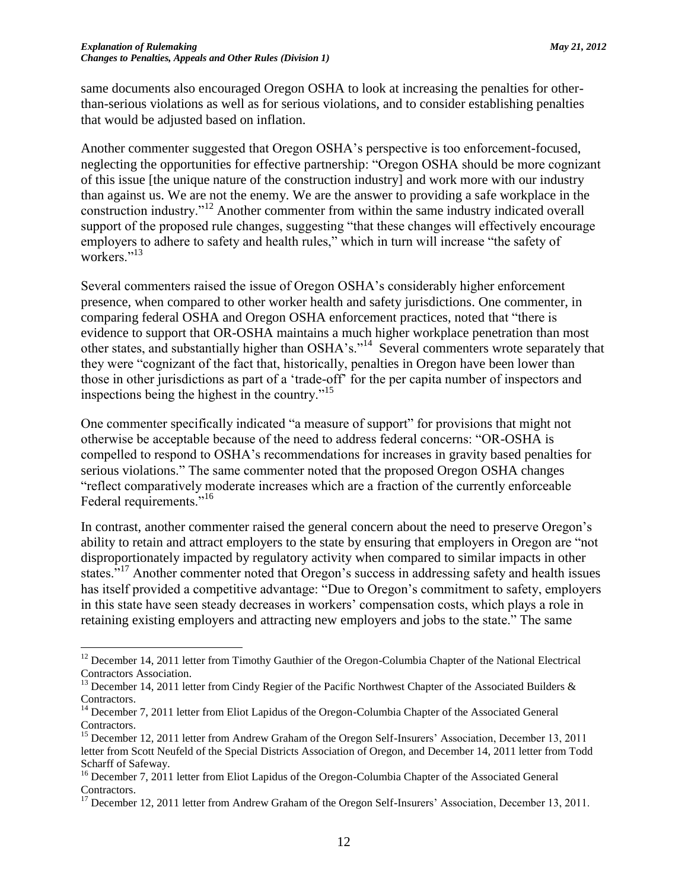$\overline{a}$ 

same documents also encouraged Oregon OSHA to look at increasing the penalties for otherthan-serious violations as well as for serious violations, and to consider establishing penalties that would be adjusted based on inflation.

Another commenter suggested that Oregon OSHA's perspective is too enforcement-focused, neglecting the opportunities for effective partnership: "Oregon OSHA should be more cognizant of this issue [the unique nature of the construction industry] and work more with our industry than against us. We are not the enemy. We are the answer to providing a safe workplace in the construction industry."<sup>12</sup> Another commenter from within the same industry indicated overall support of the proposed rule changes, suggesting "that these changes will effectively encourage employers to adhere to safety and health rules," which in turn will increase "the safety of workers."<sup>13</sup>

Several commenters raised the issue of Oregon OSHA's considerably higher enforcement presence, when compared to other worker health and safety jurisdictions. One commenter, in comparing federal OSHA and Oregon OSHA enforcement practices, noted that "there is evidence to support that OR-OSHA maintains a much higher workplace penetration than most other states, and substantially higher than OSHA's."<sup>14</sup> Several commenters wrote separately that they were "cognizant of the fact that, historically, penalties in Oregon have been lower than those in other jurisdictions as part of a 'trade-off' for the per capita number of inspectors and inspections being the highest in the country."<sup>15</sup>

One commenter specifically indicated "a measure of support" for provisions that might not otherwise be acceptable because of the need to address federal concerns: "OR-OSHA is compelled to respond to OSHA's recommendations for increases in gravity based penalties for serious violations." The same commenter noted that the proposed Oregon OSHA changes "reflect comparatively moderate increases which are a fraction of the currently enforceable Federal requirements."<sup>16</sup>

In contrast, another commenter raised the general concern about the need to preserve Oregon's ability to retain and attract employers to the state by ensuring that employers in Oregon are "not disproportionately impacted by regulatory activity when compared to similar impacts in other states."<sup>17</sup> Another commenter noted that Oregon's success in addressing safety and health issues has itself provided a competitive advantage: "Due to Oregon's commitment to safety, employers in this state have seen steady decreases in workers' compensation costs, which plays a role in retaining existing employers and attracting new employers and jobs to the state." The same

<sup>&</sup>lt;sup>12</sup> December 14, 2011 letter from Timothy Gauthier of the Oregon-Columbia Chapter of the National Electrical Contractors Association.

<sup>&</sup>lt;sup>13</sup> December 14, 2011 letter from Cindy Regier of the Pacific Northwest Chapter of the Associated Builders  $\&$ Contractors.

<sup>&</sup>lt;sup>14</sup> December 7, 2011 letter from Eliot Lapidus of the Oregon-Columbia Chapter of the Associated General Contractors.

<sup>&</sup>lt;sup>15</sup> December 12, 2011 letter from Andrew Graham of the Oregon Self-Insurers' Association, December 13, 2011 letter from Scott Neufeld of the Special Districts Association of Oregon, and December 14, 2011 letter from Todd Scharff of Safeway.

<sup>&</sup>lt;sup>16</sup> December 7, 2011 letter from Eliot Lapidus of the Oregon-Columbia Chapter of the Associated General Contractors.

<sup>&</sup>lt;sup>17</sup> December 12, 2011 letter from Andrew Graham of the Oregon Self-Insurers' Association, December 13, 2011.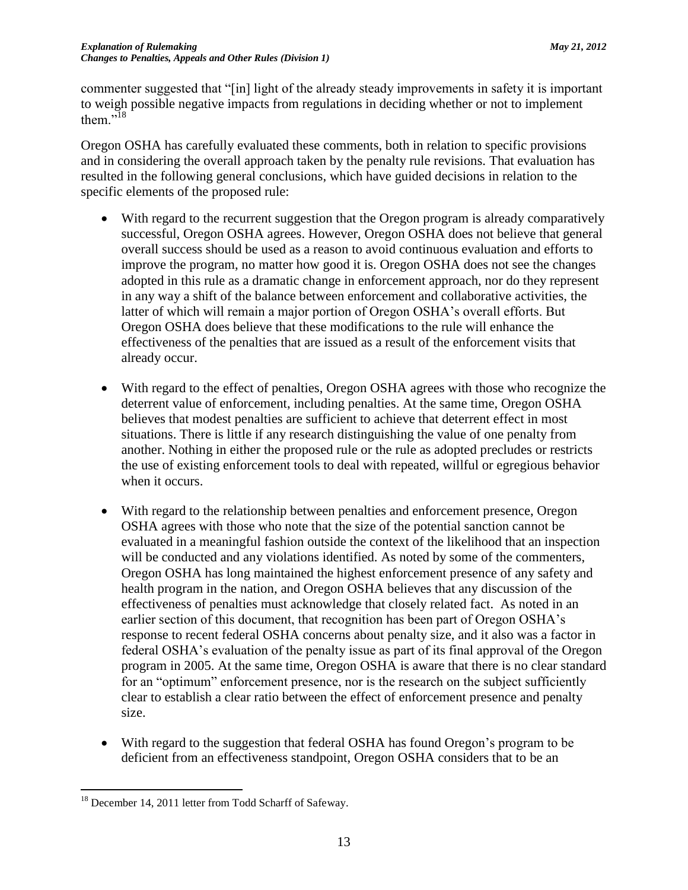commenter suggested that "[in] light of the already steady improvements in safety it is important to weigh possible negative impacts from regulations in deciding whether or not to implement them $.$ <sup>518</sup>

Oregon OSHA has carefully evaluated these comments, both in relation to specific provisions and in considering the overall approach taken by the penalty rule revisions. That evaluation has resulted in the following general conclusions, which have guided decisions in relation to the specific elements of the proposed rule:

- With regard to the recurrent suggestion that the Oregon program is already comparatively successful, Oregon OSHA agrees. However, Oregon OSHA does not believe that general overall success should be used as a reason to avoid continuous evaluation and efforts to improve the program, no matter how good it is. Oregon OSHA does not see the changes adopted in this rule as a dramatic change in enforcement approach, nor do they represent in any way a shift of the balance between enforcement and collaborative activities, the latter of which will remain a major portion of Oregon OSHA's overall efforts. But Oregon OSHA does believe that these modifications to the rule will enhance the effectiveness of the penalties that are issued as a result of the enforcement visits that already occur.
- With regard to the effect of penalties, Oregon OSHA agrees with those who recognize the deterrent value of enforcement, including penalties. At the same time, Oregon OSHA believes that modest penalties are sufficient to achieve that deterrent effect in most situations. There is little if any research distinguishing the value of one penalty from another. Nothing in either the proposed rule or the rule as adopted precludes or restricts the use of existing enforcement tools to deal with repeated, willful or egregious behavior when it occurs.
- With regard to the relationship between penalties and enforcement presence, Oregon OSHA agrees with those who note that the size of the potential sanction cannot be evaluated in a meaningful fashion outside the context of the likelihood that an inspection will be conducted and any violations identified. As noted by some of the commenters, Oregon OSHA has long maintained the highest enforcement presence of any safety and health program in the nation, and Oregon OSHA believes that any discussion of the effectiveness of penalties must acknowledge that closely related fact. As noted in an earlier section of this document, that recognition has been part of Oregon OSHA's response to recent federal OSHA concerns about penalty size, and it also was a factor in federal OSHA's evaluation of the penalty issue as part of its final approval of the Oregon program in 2005. At the same time, Oregon OSHA is aware that there is no clear standard for an "optimum" enforcement presence, nor is the research on the subject sufficiently clear to establish a clear ratio between the effect of enforcement presence and penalty size.
- With regard to the suggestion that federal OSHA has found Oregon's program to be deficient from an effectiveness standpoint, Oregon OSHA considers that to be an

 $\overline{a}$ <sup>18</sup> December 14, 2011 letter from Todd Scharff of Safeway.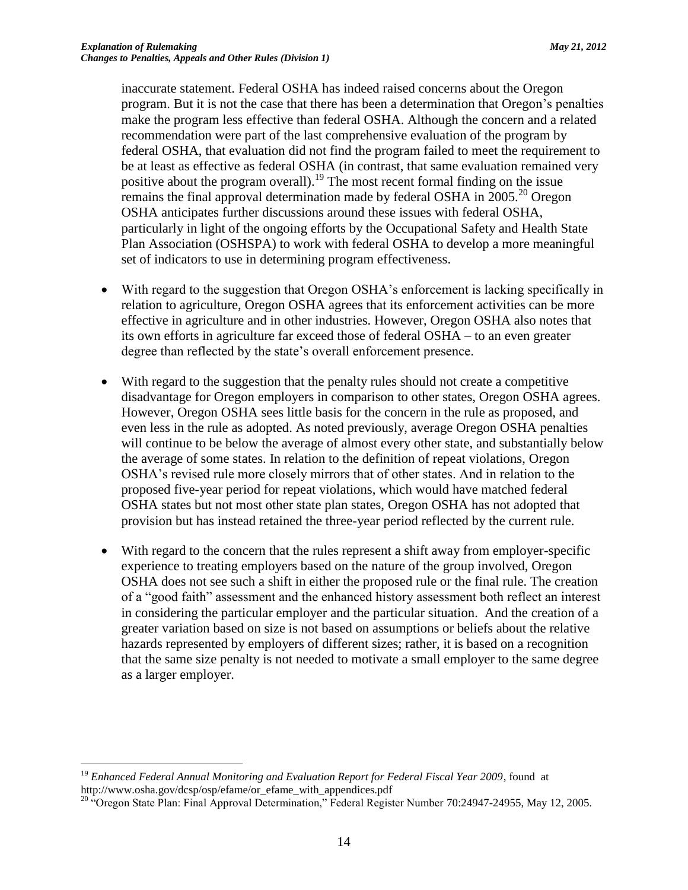inaccurate statement. Federal OSHA has indeed raised concerns about the Oregon program. But it is not the case that there has been a determination that Oregon's penalties make the program less effective than federal OSHA. Although the concern and a related recommendation were part of the last comprehensive evaluation of the program by federal OSHA, that evaluation did not find the program failed to meet the requirement to be at least as effective as federal OSHA (in contrast, that same evaluation remained very positive about the program overall).<sup>19</sup> The most recent formal finding on the issue remains the final approval determination made by federal OSHA in  $2005.^{20}$  Oregon OSHA anticipates further discussions around these issues with federal OSHA, particularly in light of the ongoing efforts by the Occupational Safety and Health State Plan Association (OSHSPA) to work with federal OSHA to develop a more meaningful set of indicators to use in determining program effectiveness.

- With regard to the suggestion that Oregon OSHA's enforcement is lacking specifically in relation to agriculture, Oregon OSHA agrees that its enforcement activities can be more effective in agriculture and in other industries. However, Oregon OSHA also notes that its own efforts in agriculture far exceed those of federal OSHA – to an even greater degree than reflected by the state's overall enforcement presence.
- With regard to the suggestion that the penalty rules should not create a competitive disadvantage for Oregon employers in comparison to other states, Oregon OSHA agrees. However, Oregon OSHA sees little basis for the concern in the rule as proposed, and even less in the rule as adopted. As noted previously, average Oregon OSHA penalties will continue to be below the average of almost every other state, and substantially below the average of some states. In relation to the definition of repeat violations, Oregon OSHA's revised rule more closely mirrors that of other states. And in relation to the proposed five-year period for repeat violations, which would have matched federal OSHA states but not most other state plan states, Oregon OSHA has not adopted that provision but has instead retained the three-year period reflected by the current rule.
- With regard to the concern that the rules represent a shift away from employer-specific experience to treating employers based on the nature of the group involved, Oregon OSHA does not see such a shift in either the proposed rule or the final rule. The creation of a "good faith" assessment and the enhanced history assessment both reflect an interest in considering the particular employer and the particular situation. And the creation of a greater variation based on size is not based on assumptions or beliefs about the relative hazards represented by employers of different sizes; rather, it is based on a recognition that the same size penalty is not needed to motivate a small employer to the same degree as a larger employer.

 $\overline{a}$ <sup>19</sup> *Enhanced Federal Annual Monitoring and Evaluation Report for Federal Fiscal Year 2009*, found at http://www.osha.gov/dcsp/osp/efame/or\_efame\_with\_appendices.pdf

<sup>&</sup>lt;sup>20</sup> "Oregon State Plan: Final Approval Determination," Federal Register Number 70:24947-24955, May 12, 2005.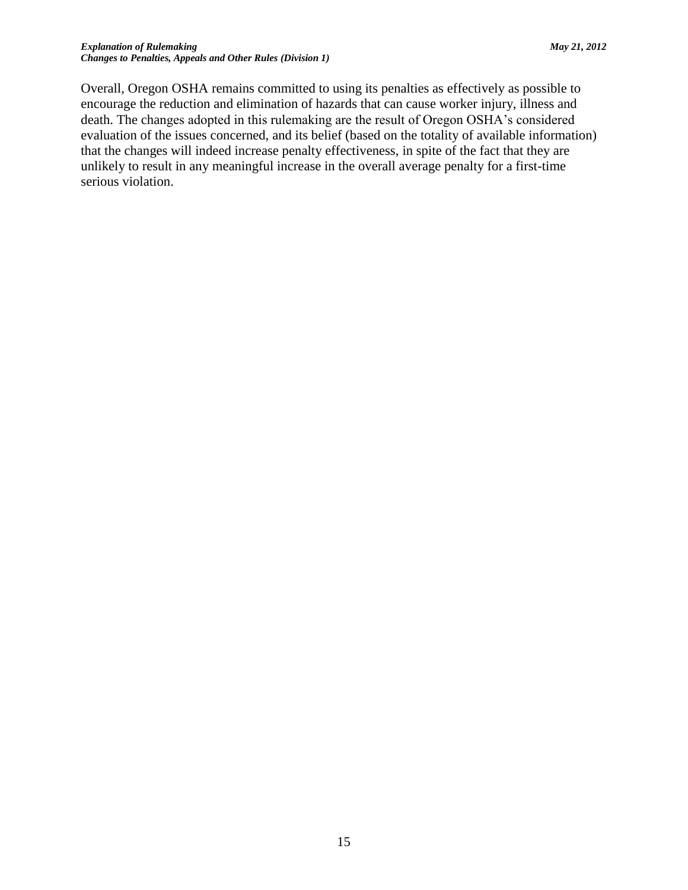Overall, Oregon OSHA remains committed to using its penalties as effectively as possible to encourage the reduction and elimination of hazards that can cause worker injury, illness and death. The changes adopted in this rulemaking are the result of Oregon OSHA's considered evaluation of the issues concerned, and its belief (based on the totality of available information) that the changes will indeed increase penalty effectiveness, in spite of the fact that they are unlikely to result in any meaningful increase in the overall average penalty for a first-time serious violation.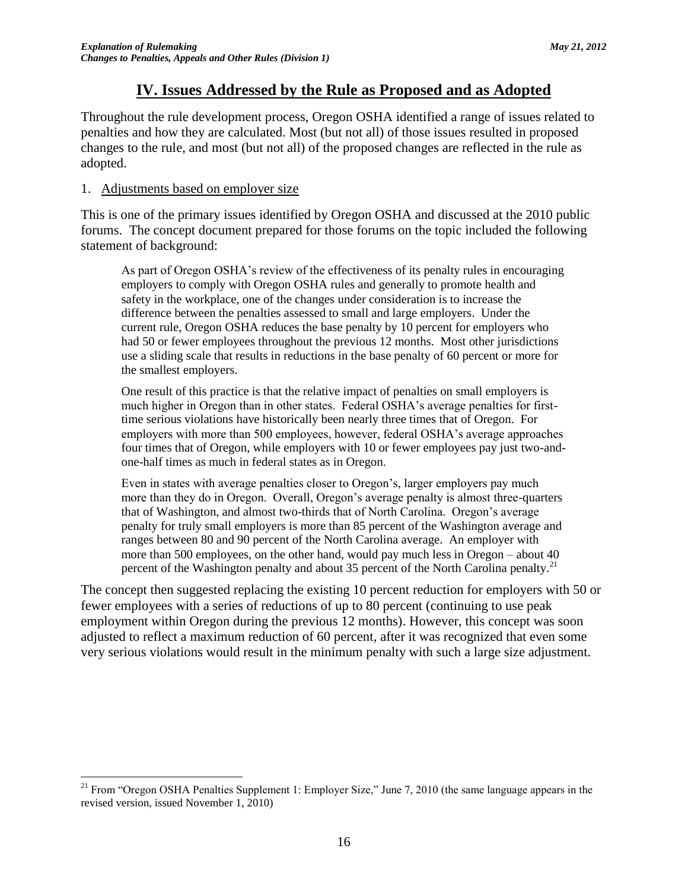## **IV. Issues Addressed by the Rule as Proposed and as Adopted**

Throughout the rule development process, Oregon OSHA identified a range of issues related to penalties and how they are calculated. Most (but not all) of those issues resulted in proposed changes to the rule, and most (but not all) of the proposed changes are reflected in the rule as adopted.

## 1. Adjustments based on employer size

This is one of the primary issues identified by Oregon OSHA and discussed at the 2010 public forums. The concept document prepared for those forums on the topic included the following statement of background:

As part of Oregon OSHA's review of the effectiveness of its penalty rules in encouraging employers to comply with Oregon OSHA rules and generally to promote health and safety in the workplace, one of the changes under consideration is to increase the difference between the penalties assessed to small and large employers. Under the current rule, Oregon OSHA reduces the base penalty by 10 percent for employers who had 50 or fewer employees throughout the previous 12 months. Most other jurisdictions use a sliding scale that results in reductions in the base penalty of 60 percent or more for the smallest employers.

One result of this practice is that the relative impact of penalties on small employers is much higher in Oregon than in other states. Federal OSHA's average penalties for firsttime serious violations have historically been nearly three times that of Oregon. For employers with more than 500 employees, however, federal OSHA's average approaches four times that of Oregon, while employers with 10 or fewer employees pay just two-andone-half times as much in federal states as in Oregon.

Even in states with average penalties closer to Oregon's, larger employers pay much more than they do in Oregon. Overall, Oregon's average penalty is almost three-quarters that of Washington, and almost two-thirds that of North Carolina. Oregon's average penalty for truly small employers is more than 85 percent of the Washington average and ranges between 80 and 90 percent of the North Carolina average. An employer with more than 500 employees, on the other hand, would pay much less in Oregon – about 40 percent of the Washington penalty and about 35 percent of the North Carolina penalty.<sup>21</sup>

The concept then suggested replacing the existing 10 percent reduction for employers with 50 or fewer employees with a series of reductions of up to 80 percent (continuing to use peak employment within Oregon during the previous 12 months). However, this concept was soon adjusted to reflect a maximum reduction of 60 percent, after it was recognized that even some very serious violations would result in the minimum penalty with such a large size adjustment.

 $\overline{a}$ <sup>21</sup> From "Oregon OSHA Penalties Supplement 1: Employer Size," June 7, 2010 (the same language appears in the revised version, issued November 1, 2010)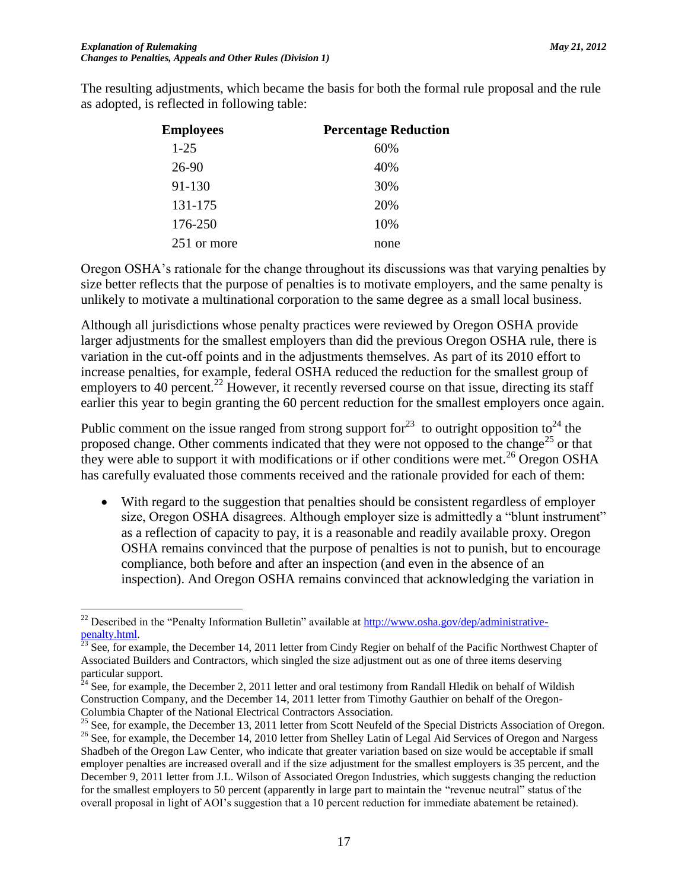The resulting adjustments, which became the basis for both the formal rule proposal and the rule as adopted, is reflected in following table:

| <b>Employees</b> | <b>Percentage Reduction</b> |
|------------------|-----------------------------|
| $1 - 25$         | 60%                         |
| 26-90            | 40%                         |
| 91-130           | 30%                         |
| 131-175          | 20%                         |
| 176-250          | 10%                         |
| 251 or more      | none                        |
|                  |                             |

Oregon OSHA's rationale for the change throughout its discussions was that varying penalties by size better reflects that the purpose of penalties is to motivate employers, and the same penalty is unlikely to motivate a multinational corporation to the same degree as a small local business.

Although all jurisdictions whose penalty practices were reviewed by Oregon OSHA provide larger adjustments for the smallest employers than did the previous Oregon OSHA rule, there is variation in the cut-off points and in the adjustments themselves. As part of its 2010 effort to increase penalties, for example, federal OSHA reduced the reduction for the smallest group of employers to 40 percent.<sup>22</sup> However, it recently reversed course on that issue, directing its staff earlier this year to begin granting the 60 percent reduction for the smallest employers once again.

Public comment on the issue ranged from strong support for<sup>23</sup> to outright opposition to<sup>24</sup> the proposed change. Other comments indicated that they were not opposed to the change<sup>25</sup> or that they were able to support it with modifications or if other conditions were met.<sup>26</sup> Oregon OSHA has carefully evaluated those comments received and the rationale provided for each of them:

 With regard to the suggestion that penalties should be consistent regardless of employer size, Oregon OSHA disagrees. Although employer size is admittedly a "blunt instrument" as a reflection of capacity to pay, it is a reasonable and readily available proxy. Oregon OSHA remains convinced that the purpose of penalties is not to punish, but to encourage compliance, both before and after an inspection (and even in the absence of an inspection). And Oregon OSHA remains convinced that acknowledging the variation in

 $\overline{a}$ <sup>22</sup> Described in the "Penalty Information Bulletin" available a[t http://www.osha.gov/dep/administrative](http://www.osha.gov/dep/administrative-penalty.html)[penalty.html.](http://www.osha.gov/dep/administrative-penalty.html) 

 $^{23}$  See, for example, the December 14, 2011 letter from Cindy Regier on behalf of the Pacific Northwest Chapter of Associated Builders and Contractors, which singled the size adjustment out as one of three items deserving particular support.

 $^{24}$  See, for example, the December 2, 2011 letter and oral testimony from Randall Hledik on behalf of Wildish Construction Company, and the December 14, 2011 letter from Timothy Gauthier on behalf of the Oregon-Columbia Chapter of the National Electrical Contractors Association.

<sup>&</sup>lt;sup>25</sup> See, for example, the December 13, 2011 letter from Scott Neufeld of the Special Districts Association of Oregon. <sup>26</sup> See, for example, the December 14, 2010 letter from Shelley Latin of Legal Aid Services of Oregon and Nargess Shadbeh of the Oregon Law Center, who indicate that greater variation based on size would be acceptable if small employer penalties are increased overall and if the size adjustment for the smallest employers is 35 percent, and the

December 9, 2011 letter from J.L. Wilson of Associated Oregon Industries, which suggests changing the reduction for the smallest employers to 50 percent (apparently in large part to maintain the "revenue neutral" status of the overall proposal in light of AOI's suggestion that a 10 percent reduction for immediate abatement be retained).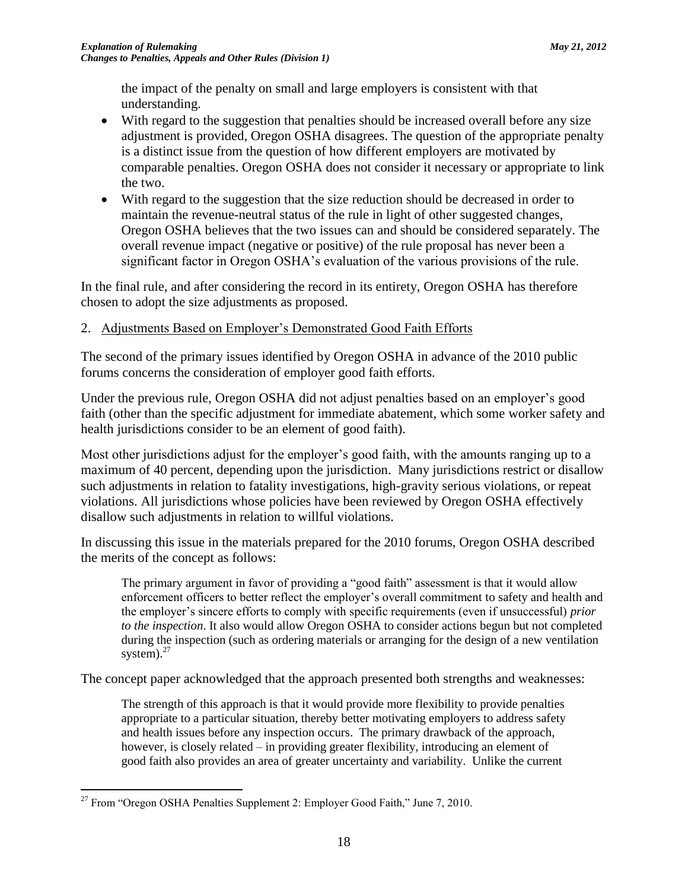the impact of the penalty on small and large employers is consistent with that understanding.

- With regard to the suggestion that penalties should be increased overall before any size adjustment is provided, Oregon OSHA disagrees. The question of the appropriate penalty is a distinct issue from the question of how different employers are motivated by comparable penalties. Oregon OSHA does not consider it necessary or appropriate to link the two.
- With regard to the suggestion that the size reduction should be decreased in order to maintain the revenue-neutral status of the rule in light of other suggested changes, Oregon OSHA believes that the two issues can and should be considered separately. The overall revenue impact (negative or positive) of the rule proposal has never been a significant factor in Oregon OSHA's evaluation of the various provisions of the rule.

In the final rule, and after considering the record in its entirety, Oregon OSHA has therefore chosen to adopt the size adjustments as proposed.

## 2. Adjustments Based on Employer's Demonstrated Good Faith Efforts

The second of the primary issues identified by Oregon OSHA in advance of the 2010 public forums concerns the consideration of employer good faith efforts.

Under the previous rule, Oregon OSHA did not adjust penalties based on an employer's good faith (other than the specific adjustment for immediate abatement, which some worker safety and health jurisdictions consider to be an element of good faith).

Most other jurisdictions adjust for the employer's good faith, with the amounts ranging up to a maximum of 40 percent, depending upon the jurisdiction. Many jurisdictions restrict or disallow such adjustments in relation to fatality investigations, high-gravity serious violations, or repeat violations. All jurisdictions whose policies have been reviewed by Oregon OSHA effectively disallow such adjustments in relation to willful violations.

In discussing this issue in the materials prepared for the 2010 forums, Oregon OSHA described the merits of the concept as follows:

The primary argument in favor of providing a "good faith" assessment is that it would allow enforcement officers to better reflect the employer's overall commitment to safety and health and the employer's sincere efforts to comply with specific requirements (even if unsuccessful) *prior to the inspection*. It also would allow Oregon OSHA to consider actions begun but not completed during the inspection (such as ordering materials or arranging for the design of a new ventilation system). $27$ 

The concept paper acknowledged that the approach presented both strengths and weaknesses:

The strength of this approach is that it would provide more flexibility to provide penalties appropriate to a particular situation, thereby better motivating employers to address safety and health issues before any inspection occurs. The primary drawback of the approach, however, is closely related – in providing greater flexibility, introducing an element of good faith also provides an area of greater uncertainty and variability. Unlike the current

 $\overline{a}$  $27$  From "Oregon OSHA Penalties Supplement 2: Employer Good Faith," June 7, 2010.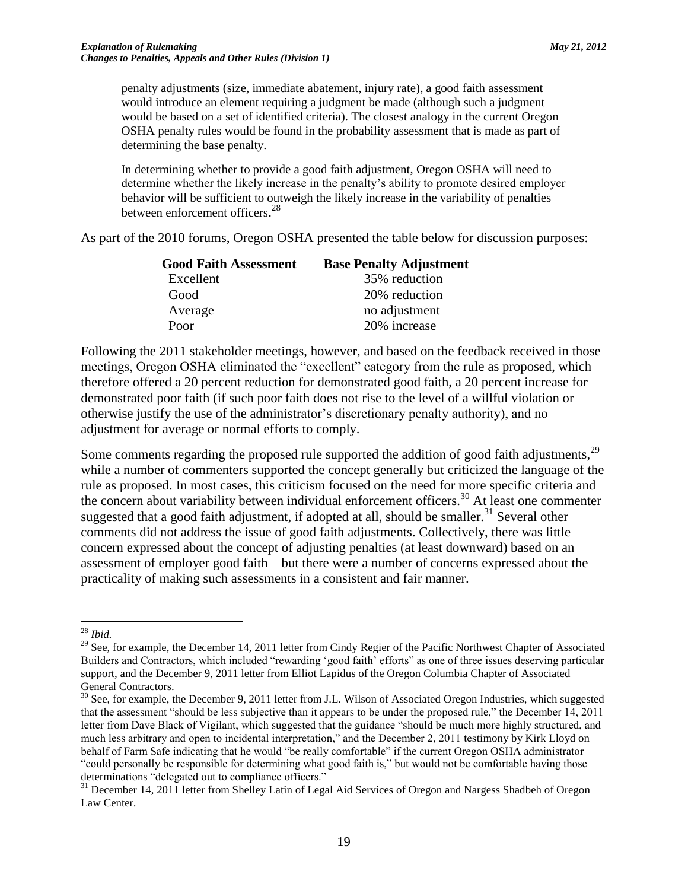penalty adjustments (size, immediate abatement, injury rate), a good faith assessment would introduce an element requiring a judgment be made (although such a judgment would be based on a set of identified criteria). The closest analogy in the current Oregon OSHA penalty rules would be found in the probability assessment that is made as part of determining the base penalty.

In determining whether to provide a good faith adjustment, Oregon OSHA will need to determine whether the likely increase in the penalty's ability to promote desired employer behavior will be sufficient to outweigh the likely increase in the variability of penalties between enforcement officers.<sup>28</sup>

As part of the 2010 forums, Oregon OSHA presented the table below for discussion purposes:

| <b>Base Penalty Adjustment</b> |
|--------------------------------|
| 35% reduction                  |
| 20% reduction                  |
| no adjustment                  |
| 20% increase                   |
|                                |

Following the 2011 stakeholder meetings, however, and based on the feedback received in those meetings, Oregon OSHA eliminated the "excellent" category from the rule as proposed, which therefore offered a 20 percent reduction for demonstrated good faith, a 20 percent increase for demonstrated poor faith (if such poor faith does not rise to the level of a willful violation or otherwise justify the use of the administrator's discretionary penalty authority), and no adjustment for average or normal efforts to comply.

Some comments regarding the proposed rule supported the addition of good faith adjustments,<sup>29</sup> while a number of commenters supported the concept generally but criticized the language of the rule as proposed. In most cases, this criticism focused on the need for more specific criteria and the concern about variability between individual enforcement officers.<sup>30</sup> At least one commenter suggested that a good faith adjustment, if adopted at all, should be smaller.<sup>31</sup> Several other comments did not address the issue of good faith adjustments. Collectively, there was little concern expressed about the concept of adjusting penalties (at least downward) based on an assessment of employer good faith – but there were a number of concerns expressed about the practicality of making such assessments in a consistent and fair manner.

<sup>28</sup> *Ibid.*

<sup>&</sup>lt;sup>29</sup> See, for example, the December 14, 2011 letter from Cindy Regier of the Pacific Northwest Chapter of Associated Builders and Contractors, which included "rewarding 'good faith' efforts" as one of three issues deserving particular support, and the December 9, 2011 letter from Elliot Lapidus of the Oregon Columbia Chapter of Associated General Contractors.

 $30$  See, for example, the December 9, 2011 letter from J.L. Wilson of Associated Oregon Industries, which suggested that the assessment "should be less subjective than it appears to be under the proposed rule," the December 14, 2011 letter from Dave Black of Vigilant, which suggested that the guidance "should be much more highly structured, and much less arbitrary and open to incidental interpretation," and the December 2, 2011 testimony by Kirk Lloyd on behalf of Farm Safe indicating that he would "be really comfortable" if the current Oregon OSHA administrator "could personally be responsible for determining what good faith is," but would not be comfortable having those determinations "delegated out to compliance officers."

<sup>&</sup>lt;sup>31</sup> December 14, 2011 letter from Shelley Latin of Legal Aid Services of Oregon and Nargess Shadbeh of Oregon Law Center.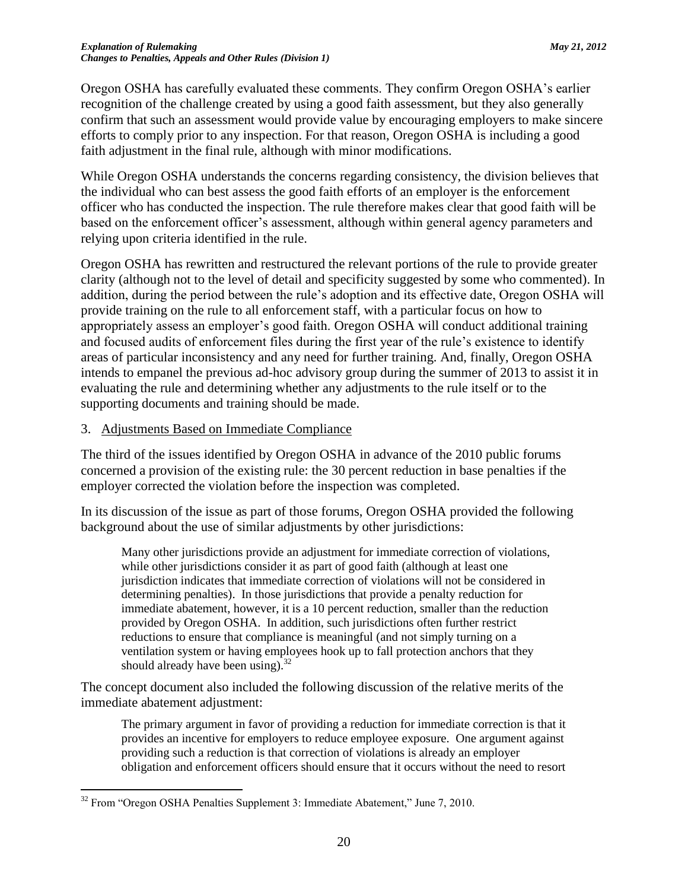Oregon OSHA has carefully evaluated these comments. They confirm Oregon OSHA's earlier recognition of the challenge created by using a good faith assessment, but they also generally confirm that such an assessment would provide value by encouraging employers to make sincere efforts to comply prior to any inspection. For that reason, Oregon OSHA is including a good faith adjustment in the final rule, although with minor modifications.

While Oregon OSHA understands the concerns regarding consistency, the division believes that the individual who can best assess the good faith efforts of an employer is the enforcement officer who has conducted the inspection. The rule therefore makes clear that good faith will be based on the enforcement officer's assessment, although within general agency parameters and relying upon criteria identified in the rule.

Oregon OSHA has rewritten and restructured the relevant portions of the rule to provide greater clarity (although not to the level of detail and specificity suggested by some who commented). In addition, during the period between the rule's adoption and its effective date, Oregon OSHA will provide training on the rule to all enforcement staff, with a particular focus on how to appropriately assess an employer's good faith. Oregon OSHA will conduct additional training and focused audits of enforcement files during the first year of the rule's existence to identify areas of particular inconsistency and any need for further training. And, finally, Oregon OSHA intends to empanel the previous ad-hoc advisory group during the summer of 2013 to assist it in evaluating the rule and determining whether any adjustments to the rule itself or to the supporting documents and training should be made.

### 3. Adjustments Based on Immediate Compliance

The third of the issues identified by Oregon OSHA in advance of the 2010 public forums concerned a provision of the existing rule: the 30 percent reduction in base penalties if the employer corrected the violation before the inspection was completed.

In its discussion of the issue as part of those forums, Oregon OSHA provided the following background about the use of similar adjustments by other jurisdictions:

Many other jurisdictions provide an adjustment for immediate correction of violations, while other jurisdictions consider it as part of good faith (although at least one jurisdiction indicates that immediate correction of violations will not be considered in determining penalties). In those jurisdictions that provide a penalty reduction for immediate abatement, however, it is a 10 percent reduction, smaller than the reduction provided by Oregon OSHA. In addition, such jurisdictions often further restrict reductions to ensure that compliance is meaningful (and not simply turning on a ventilation system or having employees hook up to fall protection anchors that they should already have been using). $32$ 

The concept document also included the following discussion of the relative merits of the immediate abatement adjustment:

The primary argument in favor of providing a reduction for immediate correction is that it provides an incentive for employers to reduce employee exposure. One argument against providing such a reduction is that correction of violations is already an employer obligation and enforcement officers should ensure that it occurs without the need to resort

 $32$  From "Oregon OSHA Penalties Supplement 3: Immediate Abatement," June 7, 2010.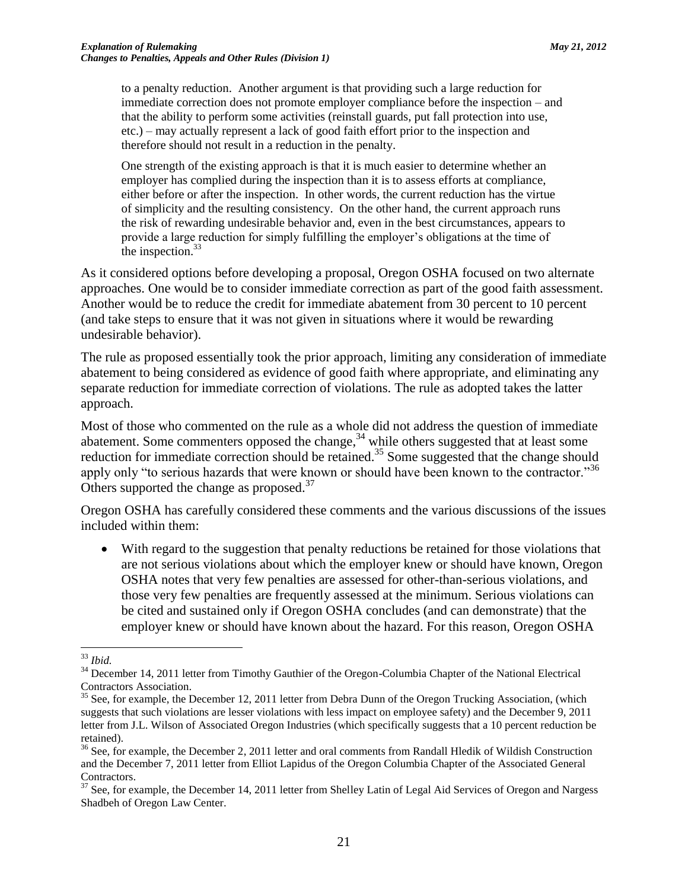to a penalty reduction. Another argument is that providing such a large reduction for immediate correction does not promote employer compliance before the inspection – and that the ability to perform some activities (reinstall guards, put fall protection into use, etc.) – may actually represent a lack of good faith effort prior to the inspection and therefore should not result in a reduction in the penalty.

One strength of the existing approach is that it is much easier to determine whether an employer has complied during the inspection than it is to assess efforts at compliance, either before or after the inspection. In other words, the current reduction has the virtue of simplicity and the resulting consistency. On the other hand, the current approach runs the risk of rewarding undesirable behavior and, even in the best circumstances, appears to provide a large reduction for simply fulfilling the employer's obligations at the time of the inspection.<sup>33</sup>

As it considered options before developing a proposal, Oregon OSHA focused on two alternate approaches. One would be to consider immediate correction as part of the good faith assessment. Another would be to reduce the credit for immediate abatement from 30 percent to 10 percent (and take steps to ensure that it was not given in situations where it would be rewarding undesirable behavior).

The rule as proposed essentially took the prior approach, limiting any consideration of immediate abatement to being considered as evidence of good faith where appropriate, and eliminating any separate reduction for immediate correction of violations. The rule as adopted takes the latter approach.

Most of those who commented on the rule as a whole did not address the question of immediate abatement. Some commenters opposed the change,  $34$  while others suggested that at least some reduction for immediate correction should be retained.<sup>35</sup> Some suggested that the change should apply only "to serious hazards that were known or should have been known to the contractor."<sup>36</sup> Others supported the change as proposed.<sup>37</sup>

Oregon OSHA has carefully considered these comments and the various discussions of the issues included within them:

 With regard to the suggestion that penalty reductions be retained for those violations that are not serious violations about which the employer knew or should have known, Oregon OSHA notes that very few penalties are assessed for other-than-serious violations, and those very few penalties are frequently assessed at the minimum. Serious violations can be cited and sustained only if Oregon OSHA concludes (and can demonstrate) that the employer knew or should have known about the hazard. For this reason, Oregon OSHA

<sup>33</sup> *Ibid.*

<sup>&</sup>lt;sup>34</sup> December 14, 2011 letter from Timothy Gauthier of the Oregon-Columbia Chapter of the National Electrical Contractors Association.

 $35$  See, for example, the December 12, 2011 letter from Debra Dunn of the Oregon Trucking Association, (which suggests that such violations are lesser violations with less impact on employee safety) and the December 9, 2011 letter from J.L. Wilson of Associated Oregon Industries (which specifically suggests that a 10 percent reduction be retained).

<sup>&</sup>lt;sup>36</sup> See, for example, the December 2, 2011 letter and oral comments from Randall Hledik of Wildish Construction and the December 7, 2011 letter from Elliot Lapidus of the Oregon Columbia Chapter of the Associated General Contractors.

<sup>&</sup>lt;sup>37</sup> See, for example, the December 14, 2011 letter from Shelley Latin of Legal Aid Services of Oregon and Nargess Shadbeh of Oregon Law Center.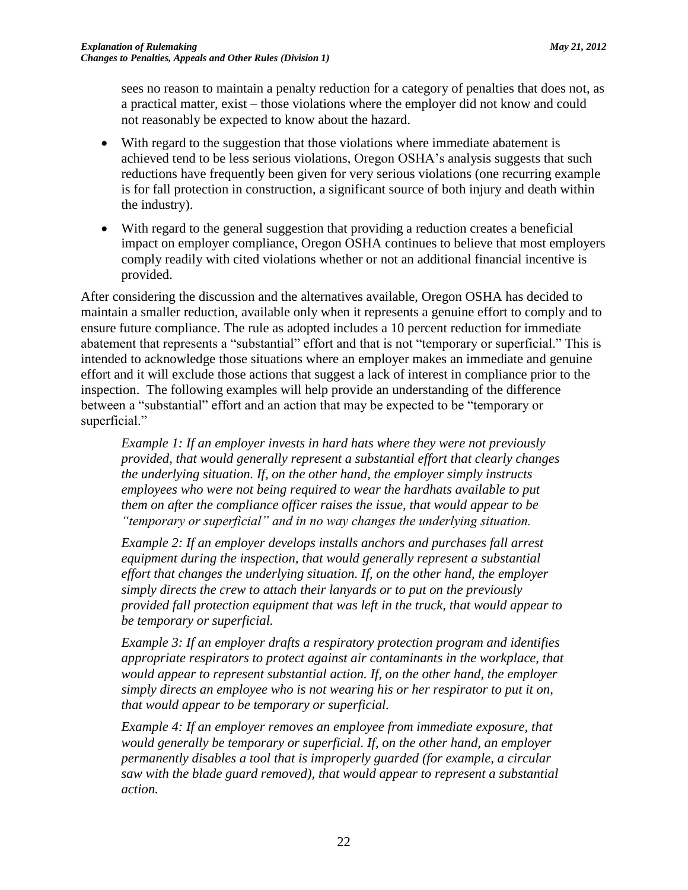sees no reason to maintain a penalty reduction for a category of penalties that does not, as a practical matter, exist – those violations where the employer did not know and could not reasonably be expected to know about the hazard.

- With regard to the suggestion that those violations where immediate abatement is achieved tend to be less serious violations, Oregon OSHA's analysis suggests that such reductions have frequently been given for very serious violations (one recurring example is for fall protection in construction, a significant source of both injury and death within the industry).
- With regard to the general suggestion that providing a reduction creates a beneficial impact on employer compliance, Oregon OSHA continues to believe that most employers comply readily with cited violations whether or not an additional financial incentive is provided.

After considering the discussion and the alternatives available, Oregon OSHA has decided to maintain a smaller reduction, available only when it represents a genuine effort to comply and to ensure future compliance. The rule as adopted includes a 10 percent reduction for immediate abatement that represents a "substantial" effort and that is not "temporary or superficial." This is intended to acknowledge those situations where an employer makes an immediate and genuine effort and it will exclude those actions that suggest a lack of interest in compliance prior to the inspection. The following examples will help provide an understanding of the difference between a "substantial" effort and an action that may be expected to be "temporary or superficial."

*Example 1: If an employer invests in hard hats where they were not previously provided, that would generally represent a substantial effort that clearly changes the underlying situation. If, on the other hand, the employer simply instructs employees who were not being required to wear the hardhats available to put them on after the compliance officer raises the issue, that would appear to be "temporary or superficial" and in no way changes the underlying situation.*

*Example 2: If an employer develops installs anchors and purchases fall arrest equipment during the inspection, that would generally represent a substantial effort that changes the underlying situation. If, on the other hand, the employer simply directs the crew to attach their lanyards or to put on the previously provided fall protection equipment that was left in the truck, that would appear to be temporary or superficial.*

*Example 3: If an employer drafts a respiratory protection program and identifies appropriate respirators to protect against air contaminants in the workplace, that would appear to represent substantial action. If, on the other hand, the employer simply directs an employee who is not wearing his or her respirator to put it on, that would appear to be temporary or superficial.*

*Example 4: If an employer removes an employee from immediate exposure, that would generally be temporary or superficial. If, on the other hand, an employer permanently disables a tool that is improperly guarded (for example, a circular saw with the blade guard removed), that would appear to represent a substantial action.*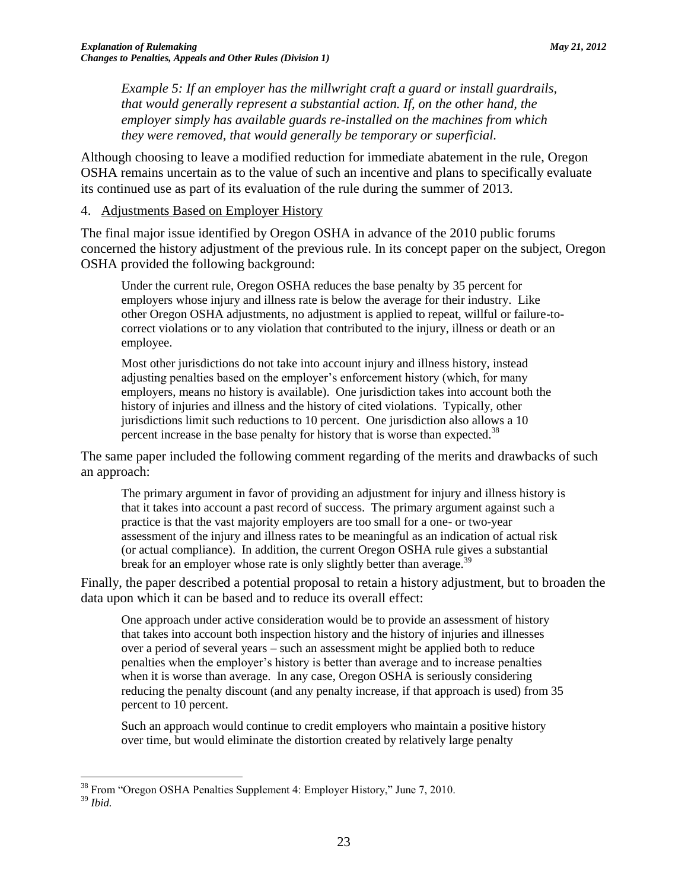*Example 5: If an employer has the millwright craft a guard or install guardrails, that would generally represent a substantial action. If, on the other hand, the employer simply has available guards re-installed on the machines from which they were removed, that would generally be temporary or superficial.*

Although choosing to leave a modified reduction for immediate abatement in the rule, Oregon OSHA remains uncertain as to the value of such an incentive and plans to specifically evaluate its continued use as part of its evaluation of the rule during the summer of 2013.

### 4. Adjustments Based on Employer History

The final major issue identified by Oregon OSHA in advance of the 2010 public forums concerned the history adjustment of the previous rule. In its concept paper on the subject, Oregon OSHA provided the following background:

Under the current rule, Oregon OSHA reduces the base penalty by 35 percent for employers whose injury and illness rate is below the average for their industry. Like other Oregon OSHA adjustments, no adjustment is applied to repeat, willful or failure-tocorrect violations or to any violation that contributed to the injury, illness or death or an employee.

Most other jurisdictions do not take into account injury and illness history, instead adjusting penalties based on the employer's enforcement history (which, for many employers, means no history is available). One jurisdiction takes into account both the history of injuries and illness and the history of cited violations. Typically, other jurisdictions limit such reductions to 10 percent. One jurisdiction also allows a 10 percent increase in the base penalty for history that is worse than expected.<sup>38</sup>

The same paper included the following comment regarding of the merits and drawbacks of such an approach:

The primary argument in favor of providing an adjustment for injury and illness history is that it takes into account a past record of success. The primary argument against such a practice is that the vast majority employers are too small for a one- or two-year assessment of the injury and illness rates to be meaningful as an indication of actual risk (or actual compliance). In addition, the current Oregon OSHA rule gives a substantial break for an employer whose rate is only slightly better than average.<sup>39</sup>

Finally, the paper described a potential proposal to retain a history adjustment, but to broaden the data upon which it can be based and to reduce its overall effect:

One approach under active consideration would be to provide an assessment of history that takes into account both inspection history and the history of injuries and illnesses over a period of several years – such an assessment might be applied both to reduce penalties when the employer's history is better than average and to increase penalties when it is worse than average. In any case, Oregon OSHA is seriously considering reducing the penalty discount (and any penalty increase, if that approach is used) from 35 percent to 10 percent.

Such an approach would continue to credit employers who maintain a positive history over time, but would eliminate the distortion created by relatively large penalty

 $\overline{a}$ <sup>38</sup> From "Oregon OSHA Penalties Supplement 4: Employer History," June 7, 2010.

<sup>39</sup> *Ibid.*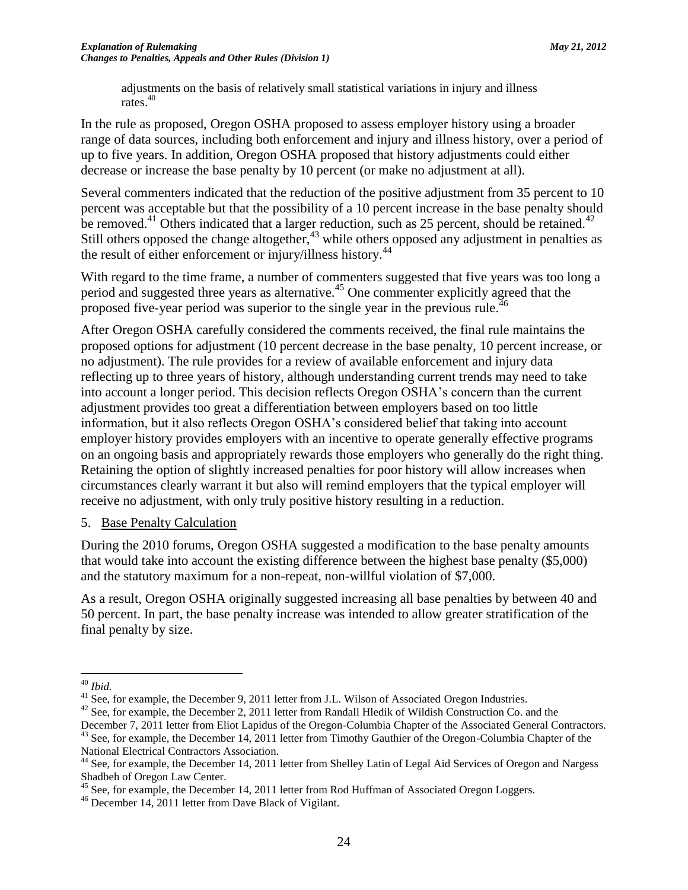adjustments on the basis of relatively small statistical variations in injury and illness rates.<sup>40</sup>

In the rule as proposed, Oregon OSHA proposed to assess employer history using a broader range of data sources, including both enforcement and injury and illness history, over a period of up to five years. In addition, Oregon OSHA proposed that history adjustments could either decrease or increase the base penalty by 10 percent (or make no adjustment at all).

Several commenters indicated that the reduction of the positive adjustment from 35 percent to 10 percent was acceptable but that the possibility of a 10 percent increase in the base penalty should be removed.<sup>41</sup> Others indicated that a larger reduction, such as 25 percent, should be retained.<sup>42</sup> Still others opposed the change altogether, $43$  while others opposed any adjustment in penalties as the result of either enforcement or injury/illness history.<sup>44</sup>

With regard to the time frame, a number of commenters suggested that five years was too long a period and suggested three years as alternative.<sup>45</sup> One commenter explicitly agreed that the proposed five-year period was superior to the single year in the previous rule.<sup>46</sup>

After Oregon OSHA carefully considered the comments received, the final rule maintains the proposed options for adjustment (10 percent decrease in the base penalty, 10 percent increase, or no adjustment). The rule provides for a review of available enforcement and injury data reflecting up to three years of history, although understanding current trends may need to take into account a longer period. This decision reflects Oregon OSHA's concern than the current adjustment provides too great a differentiation between employers based on too little information, but it also reflects Oregon OSHA's considered belief that taking into account employer history provides employers with an incentive to operate generally effective programs on an ongoing basis and appropriately rewards those employers who generally do the right thing. Retaining the option of slightly increased penalties for poor history will allow increases when circumstances clearly warrant it but also will remind employers that the typical employer will receive no adjustment, with only truly positive history resulting in a reduction.

### 5. Base Penalty Calculation

During the 2010 forums, Oregon OSHA suggested a modification to the base penalty amounts that would take into account the existing difference between the highest base penalty (\$5,000) and the statutory maximum for a non-repeat, non-willful violation of \$7,000.

As a result, Oregon OSHA originally suggested increasing all base penalties by between 40 and 50 percent. In part, the base penalty increase was intended to allow greater stratification of the final penalty by size.

December 7, 2011 letter from Eliot Lapidus of the Oregon-Columbia Chapter of the Associated General Contractors. <sup>43</sup> See, for example, the December 14, 2011 letter from Timothy Gauthier of the Oregon-Columbia Chapter of the National Electrical Contractors Association.

 $\overline{a}$ <sup>40</sup> *Ibid.*

<sup>&</sup>lt;sup>41</sup> See, for example, the December 9, 2011 letter from J.L. Wilson of Associated Oregon Industries.

<sup>&</sup>lt;sup>42</sup> See, for example, the December 2, 2011 letter from Randall Hledik of Wildish Construction Co. and the

<sup>&</sup>lt;sup>44</sup> See, for example, the December 14, 2011 letter from Shelley Latin of Legal Aid Services of Oregon and Nargess Shadbeh of Oregon Law Center.

<sup>&</sup>lt;sup>45</sup> See, for example, the December 14, 2011 letter from Rod Huffman of Associated Oregon Loggers.

<sup>46</sup> December 14, 2011 letter from Dave Black of Vigilant.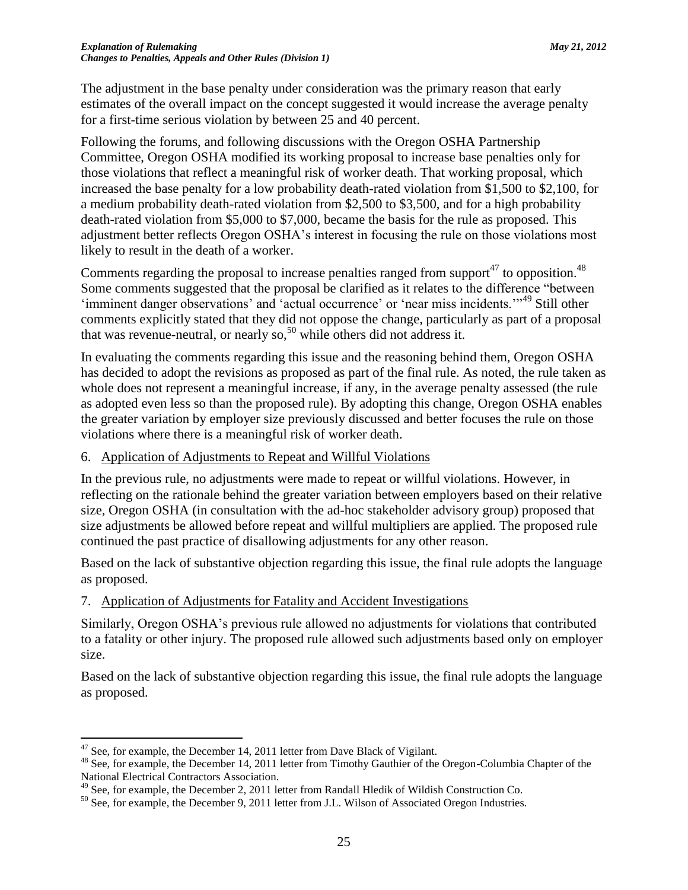The adjustment in the base penalty under consideration was the primary reason that early estimates of the overall impact on the concept suggested it would increase the average penalty for a first-time serious violation by between 25 and 40 percent.

Following the forums, and following discussions with the Oregon OSHA Partnership Committee, Oregon OSHA modified its working proposal to increase base penalties only for those violations that reflect a meaningful risk of worker death. That working proposal, which increased the base penalty for a low probability death-rated violation from \$1,500 to \$2,100, for a medium probability death-rated violation from \$2,500 to \$3,500, and for a high probability death-rated violation from \$5,000 to \$7,000, became the basis for the rule as proposed. This adjustment better reflects Oregon OSHA's interest in focusing the rule on those violations most likely to result in the death of a worker.

Comments regarding the proposal to increase penalties ranged from support<sup>47</sup> to opposition.<sup>48</sup> Some comments suggested that the proposal be clarified as it relates to the difference "between 'imminent danger observations' and 'actual occurrence' or 'near miss incidents.'"<sup>49</sup> Still other comments explicitly stated that they did not oppose the change, particularly as part of a proposal that was revenue-neutral, or nearly so,  $50$  while others did not address it.

In evaluating the comments regarding this issue and the reasoning behind them, Oregon OSHA has decided to adopt the revisions as proposed as part of the final rule. As noted, the rule taken as whole does not represent a meaningful increase, if any, in the average penalty assessed (the rule as adopted even less so than the proposed rule). By adopting this change, Oregon OSHA enables the greater variation by employer size previously discussed and better focuses the rule on those violations where there is a meaningful risk of worker death.

### 6. Application of Adjustments to Repeat and Willful Violations

In the previous rule, no adjustments were made to repeat or willful violations. However, in reflecting on the rationale behind the greater variation between employers based on their relative size, Oregon OSHA (in consultation with the ad-hoc stakeholder advisory group) proposed that size adjustments be allowed before repeat and willful multipliers are applied. The proposed rule continued the past practice of disallowing adjustments for any other reason.

Based on the lack of substantive objection regarding this issue, the final rule adopts the language as proposed.

### 7. Application of Adjustments for Fatality and Accident Investigations

Similarly, Oregon OSHA's previous rule allowed no adjustments for violations that contributed to a fatality or other injury. The proposed rule allowed such adjustments based only on employer size.

Based on the lack of substantive objection regarding this issue, the final rule adopts the language as proposed.

 $47$  See, for example, the December 14, 2011 letter from Dave Black of Vigilant.

<sup>&</sup>lt;sup>48</sup> See, for example, the December 14, 2011 letter from Timothy Gauthier of the Oregon-Columbia Chapter of the National Electrical Contractors Association.

<sup>&</sup>lt;sup>49</sup> See, for example, the December 2, 2011 letter from Randall Hledik of Wildish Construction Co.

<sup>&</sup>lt;sup>50</sup> See, for example, the December 9, 2011 letter from J.L. Wilson of Associated Oregon Industries.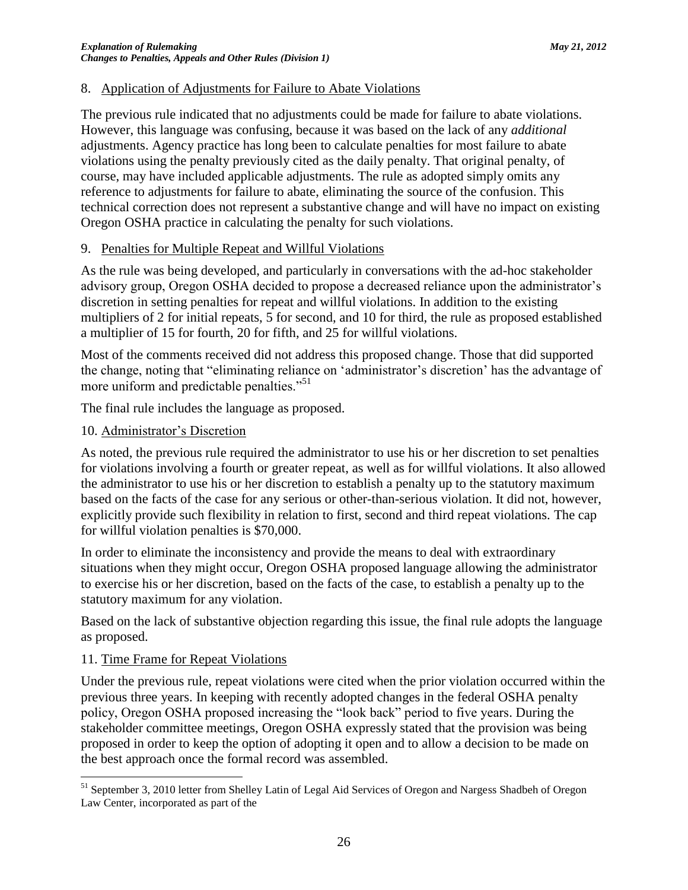### 8. Application of Adjustments for Failure to Abate Violations

The previous rule indicated that no adjustments could be made for failure to abate violations. However, this language was confusing, because it was based on the lack of any *additional* adjustments. Agency practice has long been to calculate penalties for most failure to abate violations using the penalty previously cited as the daily penalty. That original penalty, of course, may have included applicable adjustments. The rule as adopted simply omits any reference to adjustments for failure to abate, eliminating the source of the confusion. This technical correction does not represent a substantive change and will have no impact on existing Oregon OSHA practice in calculating the penalty for such violations.

### 9. Penalties for Multiple Repeat and Willful Violations

As the rule was being developed, and particularly in conversations with the ad-hoc stakeholder advisory group, Oregon OSHA decided to propose a decreased reliance upon the administrator's discretion in setting penalties for repeat and willful violations. In addition to the existing multipliers of 2 for initial repeats, 5 for second, and 10 for third, the rule as proposed established a multiplier of 15 for fourth, 20 for fifth, and 25 for willful violations.

Most of the comments received did not address this proposed change. Those that did supported the change, noting that "eliminating reliance on 'administrator's discretion' has the advantage of more uniform and predictable penalties."<sup>51</sup>

The final rule includes the language as proposed.

### 10. Administrator's Discretion

As noted, the previous rule required the administrator to use his or her discretion to set penalties for violations involving a fourth or greater repeat, as well as for willful violations. It also allowed the administrator to use his or her discretion to establish a penalty up to the statutory maximum based on the facts of the case for any serious or other-than-serious violation. It did not, however, explicitly provide such flexibility in relation to first, second and third repeat violations. The cap for willful violation penalties is \$70,000.

In order to eliminate the inconsistency and provide the means to deal with extraordinary situations when they might occur, Oregon OSHA proposed language allowing the administrator to exercise his or her discretion, based on the facts of the case, to establish a penalty up to the statutory maximum for any violation.

Based on the lack of substantive objection regarding this issue, the final rule adopts the language as proposed.

### 11. Time Frame for Repeat Violations

 $\overline{a}$ 

Under the previous rule, repeat violations were cited when the prior violation occurred within the previous three years. In keeping with recently adopted changes in the federal OSHA penalty policy, Oregon OSHA proposed increasing the "look back" period to five years. During the stakeholder committee meetings, Oregon OSHA expressly stated that the provision was being proposed in order to keep the option of adopting it open and to allow a decision to be made on the best approach once the formal record was assembled.

<sup>&</sup>lt;sup>51</sup> September 3, 2010 letter from Shelley Latin of Legal Aid Services of Oregon and Nargess Shadbeh of Oregon Law Center, incorporated as part of the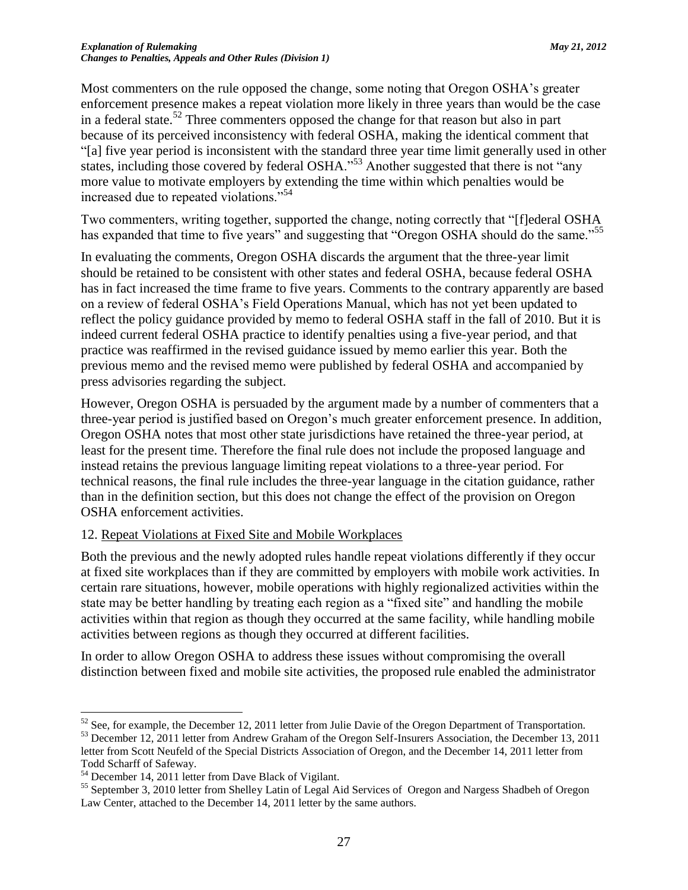Most commenters on the rule opposed the change, some noting that Oregon OSHA's greater enforcement presence makes a repeat violation more likely in three years than would be the case in a federal state. <sup>52</sup> Three commenters opposed the change for that reason but also in part because of its perceived inconsistency with federal OSHA, making the identical comment that "[a] five year period is inconsistent with the standard three year time limit generally used in other states, including those covered by federal OSHA."<sup>53</sup> Another suggested that there is not "any more value to motivate employers by extending the time within which penalties would be increased due to repeated violations."<sup>54</sup>

Two commenters, writing together, supported the change, noting correctly that "[f]ederal OSHA has expanded that time to five years" and suggesting that "Oregon OSHA should do the same."<sup>55</sup>

In evaluating the comments, Oregon OSHA discards the argument that the three-year limit should be retained to be consistent with other states and federal OSHA, because federal OSHA has in fact increased the time frame to five years. Comments to the contrary apparently are based on a review of federal OSHA's Field Operations Manual, which has not yet been updated to reflect the policy guidance provided by memo to federal OSHA staff in the fall of 2010. But it is indeed current federal OSHA practice to identify penalties using a five-year period, and that practice was reaffirmed in the revised guidance issued by memo earlier this year. Both the previous memo and the revised memo were published by federal OSHA and accompanied by press advisories regarding the subject.

However, Oregon OSHA is persuaded by the argument made by a number of commenters that a three-year period is justified based on Oregon's much greater enforcement presence. In addition, Oregon OSHA notes that most other state jurisdictions have retained the three-year period, at least for the present time. Therefore the final rule does not include the proposed language and instead retains the previous language limiting repeat violations to a three-year period. For technical reasons, the final rule includes the three-year language in the citation guidance, rather than in the definition section, but this does not change the effect of the provision on Oregon OSHA enforcement activities.

### 12. Repeat Violations at Fixed Site and Mobile Workplaces

Both the previous and the newly adopted rules handle repeat violations differently if they occur at fixed site workplaces than if they are committed by employers with mobile work activities. In certain rare situations, however, mobile operations with highly regionalized activities within the state may be better handling by treating each region as a "fixed site" and handling the mobile activities within that region as though they occurred at the same facility, while handling mobile activities between regions as though they occurred at different facilities.

In order to allow Oregon OSHA to address these issues without compromising the overall distinction between fixed and mobile site activities, the proposed rule enabled the administrator

 $52$  See, for example, the December 12, 2011 letter from Julie Davie of the Oregon Department of Transportation.

<sup>&</sup>lt;sup>53</sup> December 12, 2011 letter from Andrew Graham of the Oregon Self-Insurers Association, the December 13, 2011 letter from Scott Neufeld of the Special Districts Association of Oregon, and the December 14, 2011 letter from Todd Scharff of Safeway.

<sup>54</sup> December 14, 2011 letter from Dave Black of Vigilant.

<sup>&</sup>lt;sup>55</sup> September 3, 2010 letter from Shelley Latin of Legal Aid Services of Oregon and Nargess Shadbeh of Oregon Law Center, attached to the December 14, 2011 letter by the same authors.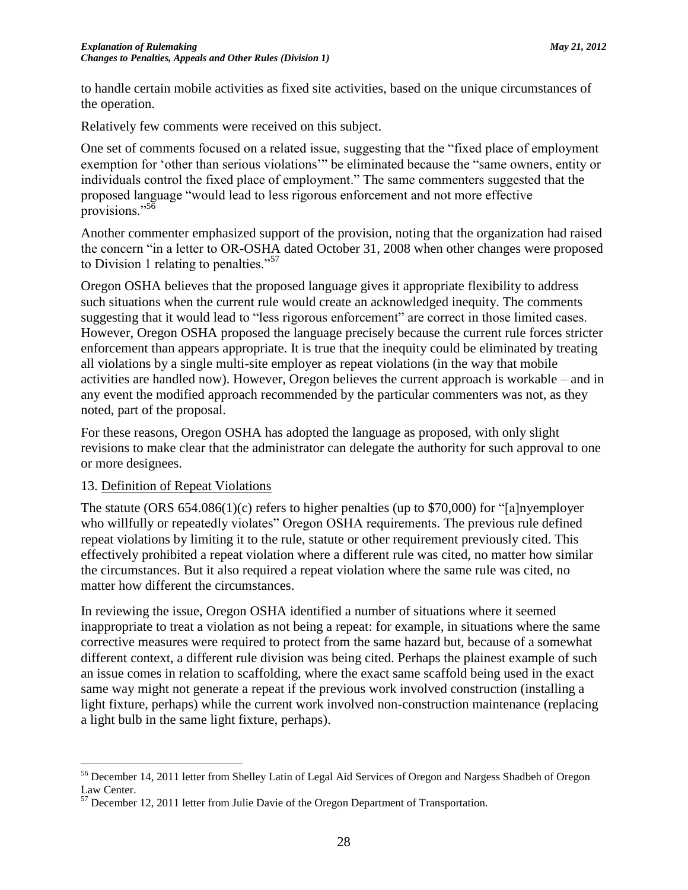to handle certain mobile activities as fixed site activities, based on the unique circumstances of the operation.

Relatively few comments were received on this subject.

One set of comments focused on a related issue, suggesting that the "fixed place of employment exemption for 'other than serious violations'" be eliminated because the "same owners, entity or individuals control the fixed place of employment." The same commenters suggested that the proposed language "would lead to less rigorous enforcement and not more effective provisions."<sup>56</sup>

Another commenter emphasized support of the provision, noting that the organization had raised the concern "in a letter to OR-OSHA dated October 31, 2008 when other changes were proposed to Division 1 relating to penalties."<sup>57</sup>

Oregon OSHA believes that the proposed language gives it appropriate flexibility to address such situations when the current rule would create an acknowledged inequity. The comments suggesting that it would lead to "less rigorous enforcement" are correct in those limited cases. However, Oregon OSHA proposed the language precisely because the current rule forces stricter enforcement than appears appropriate. It is true that the inequity could be eliminated by treating all violations by a single multi-site employer as repeat violations (in the way that mobile activities are handled now). However, Oregon believes the current approach is workable – and in any event the modified approach recommended by the particular commenters was not, as they noted, part of the proposal.

For these reasons, Oregon OSHA has adopted the language as proposed, with only slight revisions to make clear that the administrator can delegate the authority for such approval to one or more designees.

### 13. Definition of Repeat Violations

 $\overline{a}$ 

The statute (ORS 654.086(1)(c) refers to higher penalties (up to \$70,000) for "[a]nyemployer who willfully or repeatedly violates" Oregon OSHA requirements. The previous rule defined repeat violations by limiting it to the rule, statute or other requirement previously cited. This effectively prohibited a repeat violation where a different rule was cited, no matter how similar the circumstances. But it also required a repeat violation where the same rule was cited, no matter how different the circumstances.

In reviewing the issue, Oregon OSHA identified a number of situations where it seemed inappropriate to treat a violation as not being a repeat: for example, in situations where the same corrective measures were required to protect from the same hazard but, because of a somewhat different context, a different rule division was being cited. Perhaps the plainest example of such an issue comes in relation to scaffolding, where the exact same scaffold being used in the exact same way might not generate a repeat if the previous work involved construction (installing a light fixture, perhaps) while the current work involved non-construction maintenance (replacing a light bulb in the same light fixture, perhaps).

<sup>56</sup> December 14, 2011 letter from Shelley Latin of Legal Aid Services of Oregon and Nargess Shadbeh of Oregon Law Center.

<sup>&</sup>lt;sup>57</sup> December 12, 2011 letter from Julie Davie of the Oregon Department of Transportation.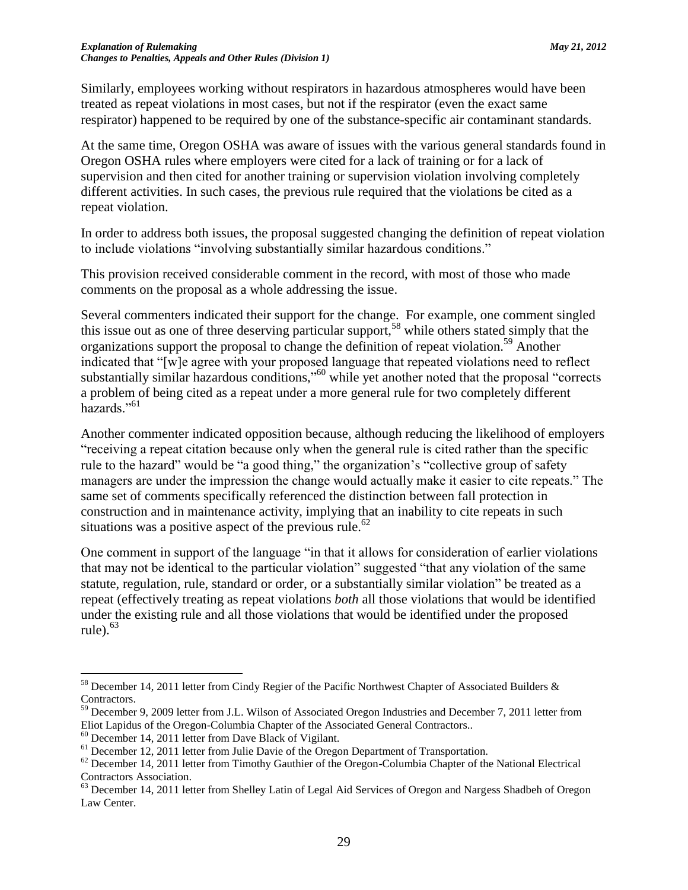Similarly, employees working without respirators in hazardous atmospheres would have been treated as repeat violations in most cases, but not if the respirator (even the exact same respirator) happened to be required by one of the substance-specific air contaminant standards.

At the same time, Oregon OSHA was aware of issues with the various general standards found in Oregon OSHA rules where employers were cited for a lack of training or for a lack of supervision and then cited for another training or supervision violation involving completely different activities. In such cases, the previous rule required that the violations be cited as a repeat violation.

In order to address both issues, the proposal suggested changing the definition of repeat violation to include violations "involving substantially similar hazardous conditions."

This provision received considerable comment in the record, with most of those who made comments on the proposal as a whole addressing the issue.

Several commenters indicated their support for the change. For example, one comment singled this issue out as one of three deserving particular support,<sup>58</sup> while others stated simply that the organizations support the proposal to change the definition of repeat violation.<sup>59</sup> Another indicated that "[w]e agree with your proposed language that repeated violations need to reflect substantially similar hazardous conditions,"<sup>60</sup> while yet another noted that the proposal "corrects a problem of being cited as a repeat under a more general rule for two completely different hazards."<sup>61</sup>

Another commenter indicated opposition because, although reducing the likelihood of employers "receiving a repeat citation because only when the general rule is cited rather than the specific rule to the hazard" would be "a good thing," the organization's "collective group of safety managers are under the impression the change would actually make it easier to cite repeats." The same set of comments specifically referenced the distinction between fall protection in construction and in maintenance activity, implying that an inability to cite repeats in such situations was a positive aspect of the previous rule.<sup>62</sup>

One comment in support of the language "in that it allows for consideration of earlier violations that may not be identical to the particular violation" suggested "that any violation of the same statute, regulation, rule, standard or order, or a substantially similar violation" be treated as a repeat (effectively treating as repeat violations *both* all those violations that would be identified under the existing rule and all those violations that would be identified under the proposed rule). $63$ 

<sup>58</sup> December 14, 2011 letter from Cindy Regier of the Pacific Northwest Chapter of Associated Builders & Contractors.

<sup>&</sup>lt;sup>59</sup> December 9, 2009 letter from J.L. Wilson of Associated Oregon Industries and December 7, 2011 letter from Eliot Lapidus of the Oregon-Columbia Chapter of the Associated General Contractors..

<sup>60</sup> December 14, 2011 letter from Dave Black of Vigilant.

<sup>&</sup>lt;sup>61</sup> December 12, 2011 letter from Julie Davie of the Oregon Department of Transportation.

 $62$  December 14, 2011 letter from Timothy Gauthier of the Oregon-Columbia Chapter of the National Electrical Contractors Association.

<sup>&</sup>lt;sup>63</sup> December 14, 2011 letter from Shelley Latin of Legal Aid Services of Oregon and Nargess Shadbeh of Oregon Law Center.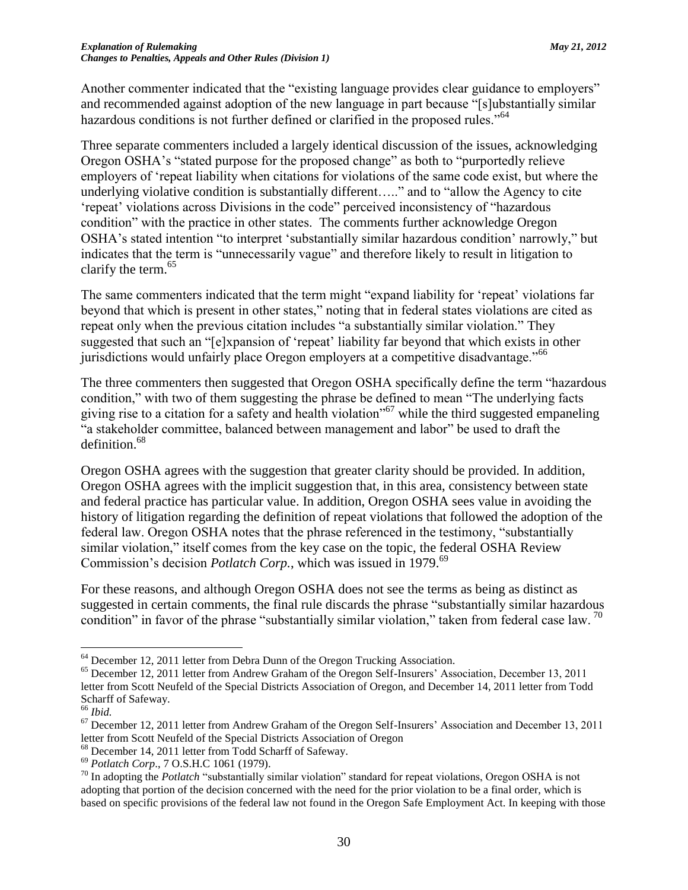Another commenter indicated that the "existing language provides clear guidance to employers" and recommended against adoption of the new language in part because "[s]ubstantially similar hazardous conditions is not further defined or clarified in the proposed rules."<sup>64</sup>

Three separate commenters included a largely identical discussion of the issues, acknowledging Oregon OSHA's "stated purpose for the proposed change" as both to "purportedly relieve employers of 'repeat liability when citations for violations of the same code exist, but where the underlying violative condition is substantially different….." and to "allow the Agency to cite 'repeat' violations across Divisions in the code" perceived inconsistency of "hazardous condition" with the practice in other states. The comments further acknowledge Oregon OSHA's stated intention "to interpret 'substantially similar hazardous condition' narrowly," but indicates that the term is "unnecessarily vague" and therefore likely to result in litigation to clarify the term.<sup>65</sup>

The same commenters indicated that the term might "expand liability for 'repeat' violations far beyond that which is present in other states," noting that in federal states violations are cited as repeat only when the previous citation includes "a substantially similar violation." They suggested that such an "[e]xpansion of 'repeat' liability far beyond that which exists in other jurisdictions would unfairly place Oregon employers at a competitive disadvantage.<sup>"66</sup>

The three commenters then suggested that Oregon OSHA specifically define the term "hazardous condition," with two of them suggesting the phrase be defined to mean "The underlying facts giving rise to a citation for a safety and health violation"<sup>67</sup> while the third suggested empaneling "a stakeholder committee, balanced between management and labor" be used to draft the definition.<sup>68</sup>

Oregon OSHA agrees with the suggestion that greater clarity should be provided. In addition, Oregon OSHA agrees with the implicit suggestion that, in this area, consistency between state and federal practice has particular value. In addition, Oregon OSHA sees value in avoiding the history of litigation regarding the definition of repeat violations that followed the adoption of the federal law. Oregon OSHA notes that the phrase referenced in the testimony, "substantially similar violation," itself comes from the key case on the topic, the federal OSHA Review Commission's decision *Potlatch Corp*., which was issued in 1979.<sup>69</sup>

For these reasons, and although Oregon OSHA does not see the terms as being as distinct as suggested in certain comments, the final rule discards the phrase "substantially similar hazardous condition" in favor of the phrase "substantially similar violation," taken from federal case law.  $^{70}$ 

<sup>&</sup>lt;sup>64</sup> December 12, 2011 letter from Debra Dunn of the Oregon Trucking Association.

<sup>&</sup>lt;sup>65</sup> December 12, 2011 letter from Andrew Graham of the Oregon Self-Insurers' Association, December 13, 2011 letter from Scott Neufeld of the Special Districts Association of Oregon, and December 14, 2011 letter from Todd Scharff of Safeway.

<sup>66</sup> *Ibid.*

<sup>&</sup>lt;sup>67</sup> December 12, 2011 letter from Andrew Graham of the Oregon Self-Insurers' Association and December 13, 2011 letter from Scott Neufeld of the Special Districts Association of Oregon

<sup>68</sup> December 14, 2011 letter from Todd Scharff of Safeway.

<sup>69</sup> *Potlatch Corp*., 7 O.S.H.C 1061 (1979).

<sup>&</sup>lt;sup>70</sup> In adopting the *Potlatch* "substantially similar violation" standard for repeat violations, Oregon OSHA is not adopting that portion of the decision concerned with the need for the prior violation to be a final order, which is based on specific provisions of the federal law not found in the Oregon Safe Employment Act. In keeping with those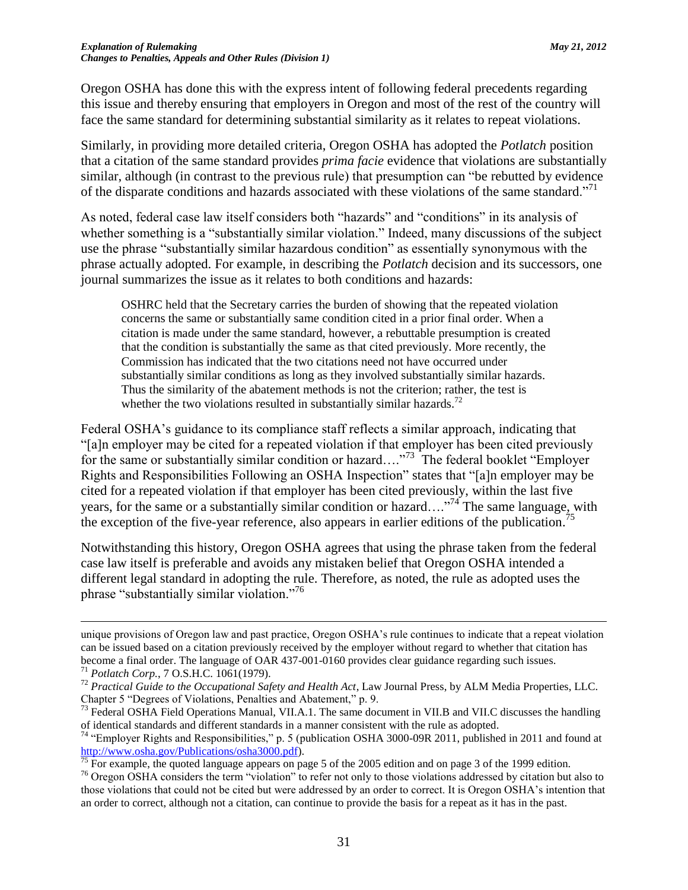Oregon OSHA has done this with the express intent of following federal precedents regarding this issue and thereby ensuring that employers in Oregon and most of the rest of the country will face the same standard for determining substantial similarity as it relates to repeat violations.

Similarly, in providing more detailed criteria, Oregon OSHA has adopted the *Potlatch* position that a citation of the same standard provides *prima facie* evidence that violations are substantially similar, although (in contrast to the previous rule) that presumption can "be rebutted by evidence of the disparate conditions and hazards associated with these violations of the same standard."<sup>71</sup>

As noted, federal case law itself considers both "hazards" and "conditions" in its analysis of whether something is a "substantially similar violation." Indeed, many discussions of the subject use the phrase "substantially similar hazardous condition" as essentially synonymous with the phrase actually adopted. For example, in describing the *Potlatch* decision and its successors, one journal summarizes the issue as it relates to both conditions and hazards:

OSHRC held that the Secretary carries the burden of showing that the repeated violation concerns the same or substantially same condition cited in a prior final order. When a citation is made under the same standard, however, a rebuttable presumption is created that the condition is substantially the same as that cited previously. More recently, the Commission has indicated that the two citations need not have occurred under substantially similar conditions as long as they involved substantially similar hazards. Thus the similarity of the abatement methods is not the criterion; rather, the test is whether the two violations resulted in substantially similar hazards.<sup>72</sup>

Federal OSHA's guidance to its compliance staff reflects a similar approach, indicating that "[a]n employer may be cited for a repeated violation if that employer has been cited previously for the same or substantially similar condition or hazard...."<sup>73</sup> The federal booklet "Employer" Rights and Responsibilities Following an OSHA Inspection" states that "[a]n employer may be cited for a repeated violation if that employer has been cited previously, within the last five years, for the same or a substantially similar condition or hazard…."<sup>74</sup> The same language, with the exception of the five-year reference, also appears in earlier editions of the publication.<sup>75</sup>

Notwithstanding this history, Oregon OSHA agrees that using the phrase taken from the federal case law itself is preferable and avoids any mistaken belief that Oregon OSHA intended a different legal standard in adopting the rule. Therefore, as noted, the rule as adopted uses the phrase "substantially similar violation."<sup>76</sup>

unique provisions of Oregon law and past practice, Oregon OSHA's rule continues to indicate that a repeat violation can be issued based on a citation previously received by the employer without regard to whether that citation has become a final order. The language of OAR 437-001-0160 provides clear guidance regarding such issues.

<sup>71</sup> *Potlatch Corp.*, 7 O.S.H.C. 1061(1979).

<sup>&</sup>lt;sup>72</sup> Practical Guide to the Occupational Safety and Health Act, Law Journal Press, by ALM Media Properties, LLC. Chapter 5 "Degrees of Violations, Penalties and Abatement," p. 9.

<sup>&</sup>lt;sup>73</sup> Federal OSHA Field Operations Manual, VII.A.1. The same document in VII.B and VII.C discusses the handling of identical standards and different standards in a manner consistent with the rule as adopted.

<sup>&</sup>lt;sup>74</sup> "Employer Rights and Responsibilities," p. 5 (publication OSHA 3000-09R 2011, published in 2011 and found at [http://www.osha.gov/Publications/osha3000.pdf\)](http://www.osha.gov/Publications/osha3000.pdf).

 $\frac{1}{75}$  For example, the quoted language appears on page 5 of the 2005 edition and on page 3 of the 1999 edition.

<sup>&</sup>lt;sup>76</sup> Oregon OSHA considers the term "violation" to refer not only to those violations addressed by citation but also to those violations that could not be cited but were addressed by an order to correct. It is Oregon OSHA's intention that an order to correct, although not a citation, can continue to provide the basis for a repeat as it has in the past.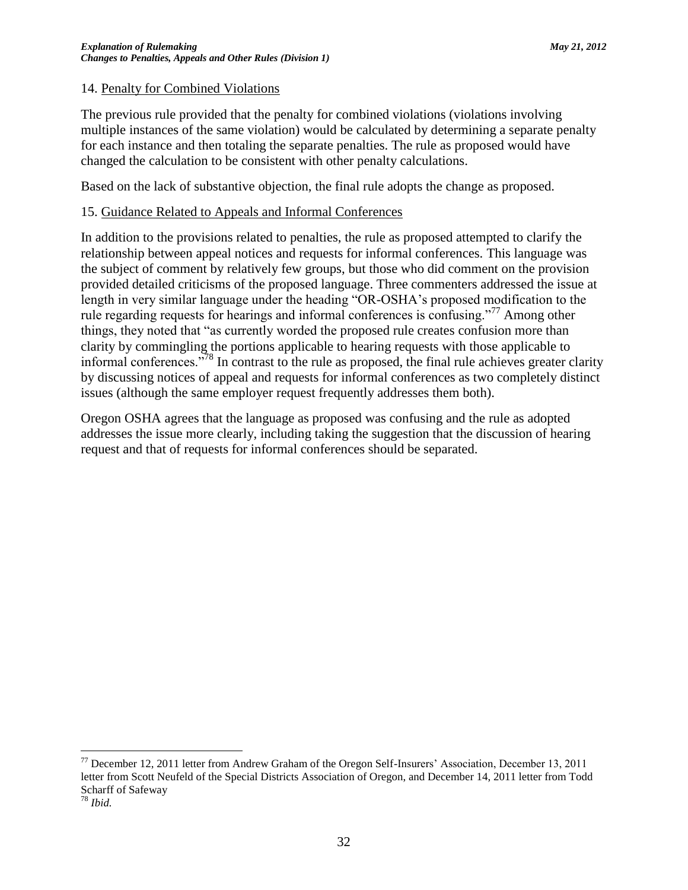### 14. Penalty for Combined Violations

The previous rule provided that the penalty for combined violations (violations involving multiple instances of the same violation) would be calculated by determining a separate penalty for each instance and then totaling the separate penalties. The rule as proposed would have changed the calculation to be consistent with other penalty calculations.

Based on the lack of substantive objection, the final rule adopts the change as proposed.

### 15. Guidance Related to Appeals and Informal Conferences

In addition to the provisions related to penalties, the rule as proposed attempted to clarify the relationship between appeal notices and requests for informal conferences. This language was the subject of comment by relatively few groups, but those who did comment on the provision provided detailed criticisms of the proposed language. Three commenters addressed the issue at length in very similar language under the heading "OR-OSHA's proposed modification to the rule regarding requests for hearings and informal conferences is confusing."<sup>77</sup> Among other things, they noted that "as currently worded the proposed rule creates confusion more than clarity by commingling the portions applicable to hearing requests with those applicable to informal conferences."<sup>78</sup> In contrast to the rule as proposed, the final rule achieves greater clarity by discussing notices of appeal and requests for informal conferences as two completely distinct issues (although the same employer request frequently addresses them both).

Oregon OSHA agrees that the language as proposed was confusing and the rule as adopted addresses the issue more clearly, including taking the suggestion that the discussion of hearing request and that of requests for informal conferences should be separated.

<sup>77</sup> December 12, 2011 letter from Andrew Graham of the Oregon Self-Insurers' Association, December 13, 2011 letter from Scott Neufeld of the Special Districts Association of Oregon, and December 14, 2011 letter from Todd Scharff of Safeway

<sup>78</sup> *Ibid.*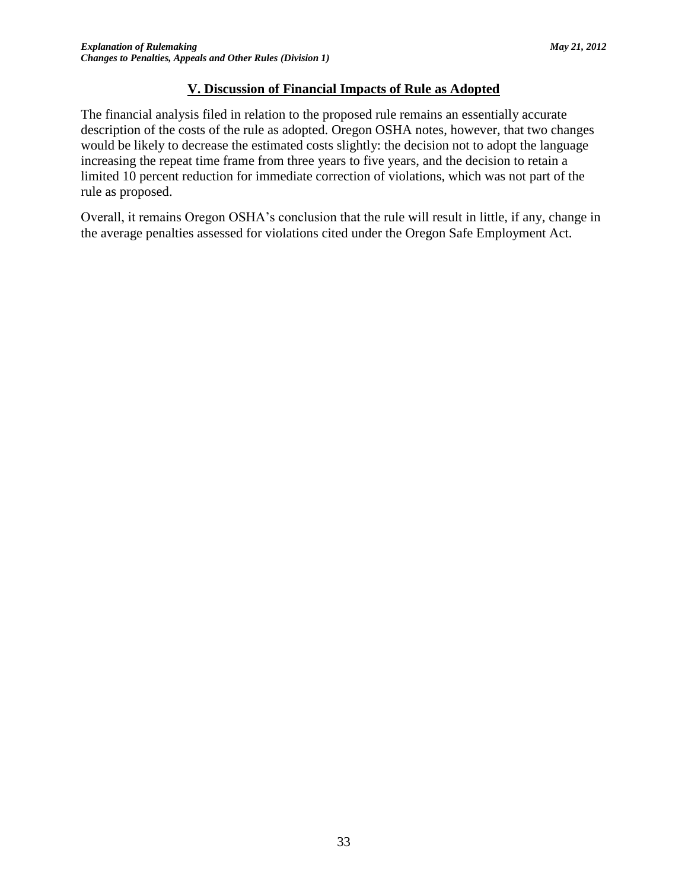## **V. Discussion of Financial Impacts of Rule as Adopted**

The financial analysis filed in relation to the proposed rule remains an essentially accurate description of the costs of the rule as adopted. Oregon OSHA notes, however, that two changes would be likely to decrease the estimated costs slightly: the decision not to adopt the language increasing the repeat time frame from three years to five years, and the decision to retain a limited 10 percent reduction for immediate correction of violations, which was not part of the rule as proposed.

Overall, it remains Oregon OSHA's conclusion that the rule will result in little, if any, change in the average penalties assessed for violations cited under the Oregon Safe Employment Act.